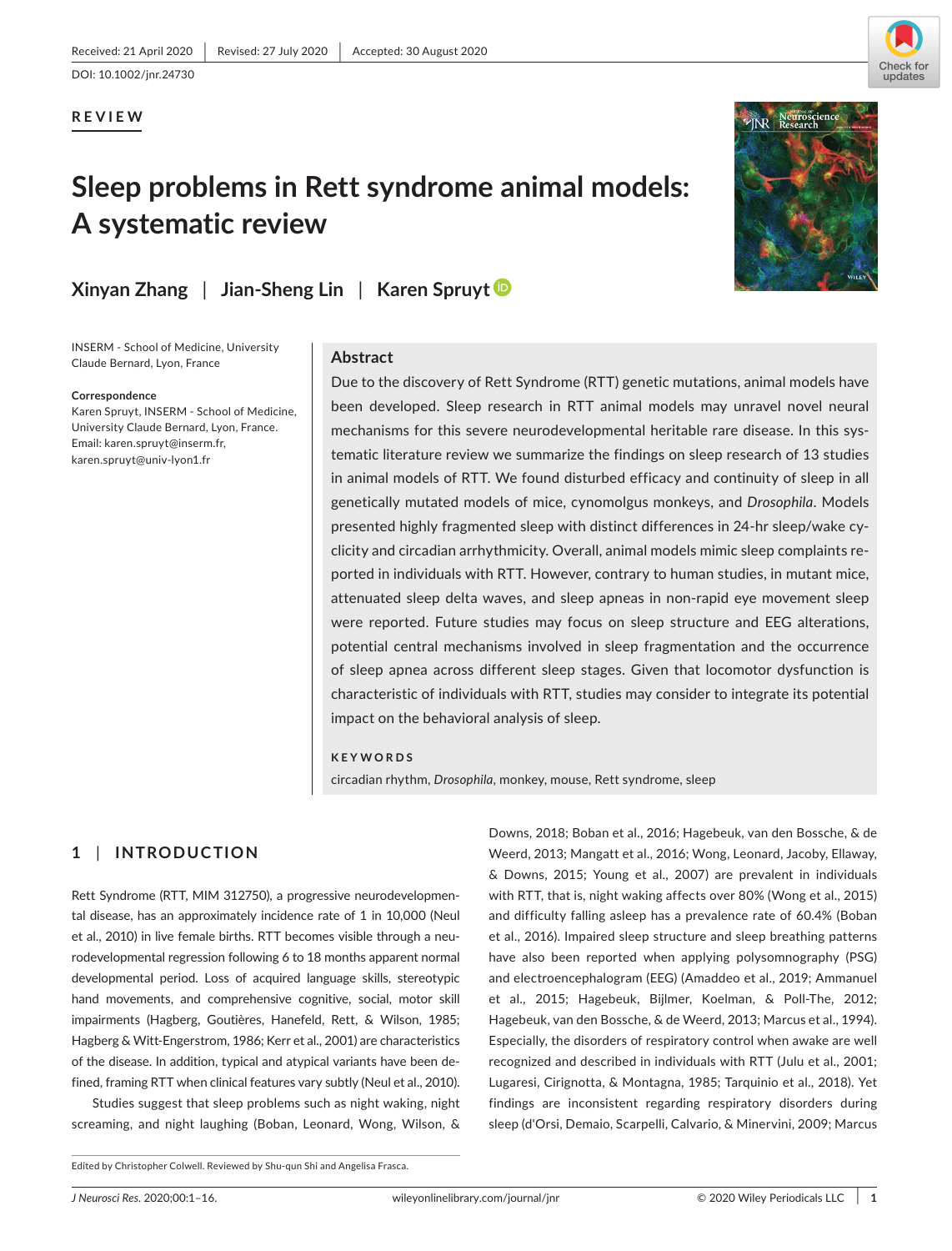

#### **REVIEW**

# **Sleep problems in Rett syndrome animal models: A systematic review**



### **Xinyan Zhang** | **Jian-Sheng Lin** | **Karen Spruyt**

INSERM - School of Medicine, University Claude Bernard, Lyon, France

#### **Correspondence**

Karen Spruyt, INSERM - School of Medicine, University Claude Bernard, Lyon, France. Email: [karen.spruyt@inserm.fr,](mailto:karen.spruyt@inserm.fr) [karen.spruyt@univ-lyon1.fr](mailto:karen.spruyt@univ-lyon1.fr)

#### **Abstract**

Due to the discovery of Rett Syndrome (RTT) genetic mutations, animal models have been developed. Sleep research in RTT animal models may unravel novel neural mechanisms for this severe neurodevelopmental heritable rare disease. In this systematic literature review we summarize the findings on sleep research of 13 studies in animal models of RTT. We found disturbed efficacy and continuity of sleep in all genetically mutated models of mice, cynomolgus monkeys, and *Drosophila*. Models presented highly fragmented sleep with distinct differences in 24-hr sleep/wake cyclicity and circadian arrhythmicity. Overall, animal models mimic sleep complaints reported in individuals with RTT. However, contrary to human studies, in mutant mice, attenuated sleep delta waves, and sleep apneas in non-rapid eye movement sleep were reported. Future studies may focus on sleep structure and EEG alterations, potential central mechanisms involved in sleep fragmentation and the occurrence of sleep apnea across different sleep stages. Given that locomotor dysfunction is characteristic of individuals with RTT, studies may consider to integrate its potential impact on the behavioral analysis of sleep.

#### **KEYWORDS**

circadian rhythm, *Drosophila*, monkey, mouse, Rett syndrome, sleep

#### **1** | **INTRODUCTION**

Rett Syndrome (RTT, MIM 312750), a progressive neurodevelopmental disease, has an approximately incidence rate of 1 in 10,000 (Neul et al., 2010) in live female births. RTT becomes visible through a neurodevelopmental regression following 6 to 18 months apparent normal developmental period. Loss of acquired language skills, stereotypic hand movements, and comprehensive cognitive, social, motor skill impairments (Hagberg, Goutières, Hanefeld, Rett, & Wilson, 1985; Hagberg & Witt-Engerstrom, 1986; Kerr et al., 2001) are characteristics of the disease. In addition, typical and atypical variants have been defined, framing RTT when clinical features vary subtly (Neul et al., 2010).

Studies suggest that sleep problems such as night waking, night screaming, and night laughing (Boban, Leonard, Wong, Wilson, &

Downs, 2018; Boban et al., 2016; Hagebeuk, van den Bossche, & de Weerd, 2013; Mangatt et al., 2016; Wong, Leonard, Jacoby, Ellaway, & Downs, 2015; Young et al., 2007) are prevalent in individuals with RTT, that is, night waking affects over 80% (Wong et al., 2015) and difficulty falling asleep has a prevalence rate of 60.4% (Boban et al., 2016). Impaired sleep structure and sleep breathing patterns have also been reported when applying polysomnography (PSG) and electroencephalogram (EEG) (Amaddeo et al., 2019; Ammanuel et al., 2015; Hagebeuk, Bijlmer, Koelman, & Poll-The, 2012; Hagebeuk, van den Bossche, & de Weerd, 2013; Marcus et al., 1994). Especially, the disorders of respiratory control when awake are well recognized and described in individuals with RTT (Julu et al., 2001; Lugaresi, Cirignotta, & Montagna, 1985; Tarquinio et al., 2018). Yet findings are inconsistent regarding respiratory disorders during sleep (d'Orsi, Demaio, Scarpelli, Calvario, & Minervini, 2009; Marcus

Edited by Christopher Colwell. Reviewed by Shu-qun Shi and Angelisa Frasca.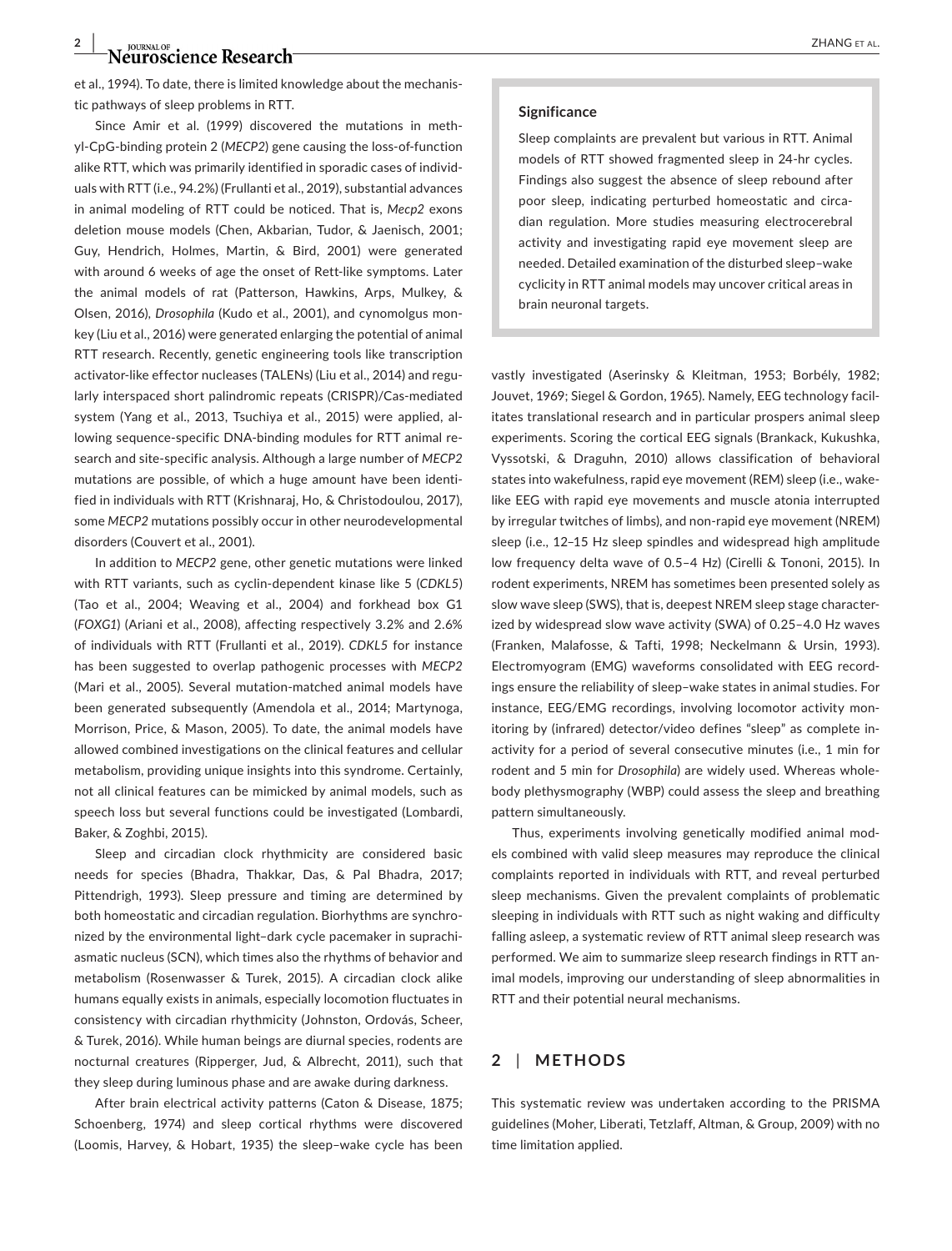### **2 |**  $\bullet$  *P*  $\bullet$  **P**  $\bullet$  **P**  $\bullet$  **P**  $\bullet$  **P**  $\bullet$  **P**  $\bullet$  **P**  $\bullet$  **P**  $\bullet$  **P**  $\bullet$  **P**  $\bullet$  **P**  $\bullet$  **P**  $\bullet$  **P**  $\bullet$  **P**  $\bullet$  **P**  $\bullet$  **P**  $\bullet$  **P**  $\bullet$  **P**  $\bullet$  **P**  $\bullet$  **P**  $\bullet$  **P**  $\bullet$  **P**  $\bullet$  **P**  $\bullet$

et al., 1994). To date, there is limited knowledge about the mechanistic pathways of sleep problems in RTT.

Since Amir et al. (1999) discovered the mutations in methyl-CpG-binding protein 2 (*MECP2*) gene causing the loss-of-function alike RTT, which was primarily identified in sporadic cases of individuals with RTT (i.e., 94.2%) (Frullanti et al., 2019), substantial advances in animal modeling of RTT could be noticed. That is, *Mecp2* exons deletion mouse models (Chen, Akbarian, Tudor, & Jaenisch, 2001; Guy, Hendrich, Holmes, Martin, & Bird, 2001) were generated with around 6 weeks of age the onset of Rett-like symptoms. Later the animal models of rat (Patterson, Hawkins, Arps, Mulkey, & Olsen, 2016), *Drosophila* (Kudo et al., 2001), and cynomolgus monkey (Liu et al., 2016) were generated enlarging the potential of animal RTT research. Recently, genetic engineering tools like transcription activator-like effector nucleases (TALENs) (Liu et al., 2014) and regularly interspaced short palindromic repeats (CRISPR)/Cas-mediated system (Yang et al., 2013, Tsuchiya et al., 2015) were applied, allowing sequence-specific DNA-binding modules for RTT animal research and site-specific analysis. Although a large number of *MECP2* mutations are possible, of which a huge amount have been identified in individuals with RTT (Krishnaraj, Ho, & Christodoulou, 2017), some *MECP2* mutations possibly occur in other neurodevelopmental disorders (Couvert et al., 2001).

In addition to *MECP2* gene, other genetic mutations were linked with RTT variants, such as cyclin-dependent kinase like 5 (*CDKL5*) (Tao et al., 2004; Weaving et al., 2004) and forkhead box G1 (*FOXG1*) (Ariani et al., 2008), affecting respectively 3.2% and 2.6% of individuals with RTT (Frullanti et al., 2019). *CDKL5* for instance has been suggested to overlap pathogenic processes with *MECP2* (Mari et al., 2005). Several mutation-matched animal models have been generated subsequently (Amendola et al., 2014; Martynoga, Morrison, Price, & Mason, 2005). To date, the animal models have allowed combined investigations on the clinical features and cellular metabolism, providing unique insights into this syndrome. Certainly, not all clinical features can be mimicked by animal models, such as speech loss but several functions could be investigated (Lombardi, Baker, & Zoghbi, 2015).

Sleep and circadian clock rhythmicity are considered basic needs for species (Bhadra, Thakkar, Das, & Pal Bhadra, 2017; Pittendrigh, 1993). Sleep pressure and timing are determined by both homeostatic and circadian regulation. Biorhythms are synchronized by the environmental light–dark cycle pacemaker in suprachiasmatic nucleus (SCN), which times also the rhythms of behavior and metabolism (Rosenwasser & Turek, 2015). A circadian clock alike humans equally exists in animals, especially locomotion fluctuates in consistency with circadian rhythmicity (Johnston, Ordovás, Scheer, & Turek, 2016). While human beings are diurnal species, rodents are nocturnal creatures (Ripperger, Jud, & Albrecht, 2011), such that they sleep during luminous phase and are awake during darkness.

After brain electrical activity patterns (Caton & Disease, 1875; Schoenberg, 1974) and sleep cortical rhythms were discovered (Loomis, Harvey, & Hobart, 1935) the sleep–wake cycle has been

#### **Significance**

Sleep complaints are prevalent but various in RTT. Animal models of RTT showed fragmented sleep in 24-hr cycles. Findings also suggest the absence of sleep rebound after poor sleep, indicating perturbed homeostatic and circadian regulation. More studies measuring electrocerebral activity and investigating rapid eye movement sleep are needed. Detailed examination of the disturbed sleep–wake cyclicity in RTT animal models may uncover critical areas in brain neuronal targets.

vastly investigated (Aserinsky & Kleitman, 1953; Borbély, 1982; Jouvet, 1969; Siegel & Gordon, 1965). Namely, EEG technology facilitates translational research and in particular prospers animal sleep experiments. Scoring the cortical EEG signals (Brankack, Kukushka, Vyssotski, & Draguhn, 2010) allows classification of behavioral states into wakefulness, rapid eye movement (REM) sleep (i.e., wakelike EEG with rapid eye movements and muscle atonia interrupted by irregular twitches of limbs), and non-rapid eye movement (NREM) sleep (i.e., 12–15 Hz sleep spindles and widespread high amplitude low frequency delta wave of 0.5–4 Hz) (Cirelli & Tononi, 2015). In rodent experiments, NREM has sometimes been presented solely as slow wave sleep (SWS), that is, deepest NREM sleep stage characterized by widespread slow wave activity (SWA) of 0.25–4.0 Hz waves (Franken, Malafosse, & Tafti, 1998; Neckelmann & Ursin, 1993). Electromyogram (EMG) waveforms consolidated with EEG recordings ensure the reliability of sleep–wake states in animal studies. For instance, EEG/EMG recordings, involving locomotor activity monitoring by (infrared) detector/video defines "sleep" as complete inactivity for a period of several consecutive minutes (i.e., 1 min for rodent and 5 min for *Drosophila*) are widely used. Whereas wholebody plethysmography (WBP) could assess the sleep and breathing pattern simultaneously.

Thus, experiments involving genetically modified animal models combined with valid sleep measures may reproduce the clinical complaints reported in individuals with RTT, and reveal perturbed sleep mechanisms. Given the prevalent complaints of problematic sleeping in individuals with RTT such as night waking and difficulty falling asleep, a systematic review of RTT animal sleep research was performed. We aim to summarize sleep research findings in RTT animal models, improving our understanding of sleep abnormalities in RTT and their potential neural mechanisms.

#### **2** | **METHODS**

This systematic review was undertaken according to the PRISMA guidelines (Moher, Liberati, Tetzlaff, Altman, & Group, 2009) with no time limitation applied.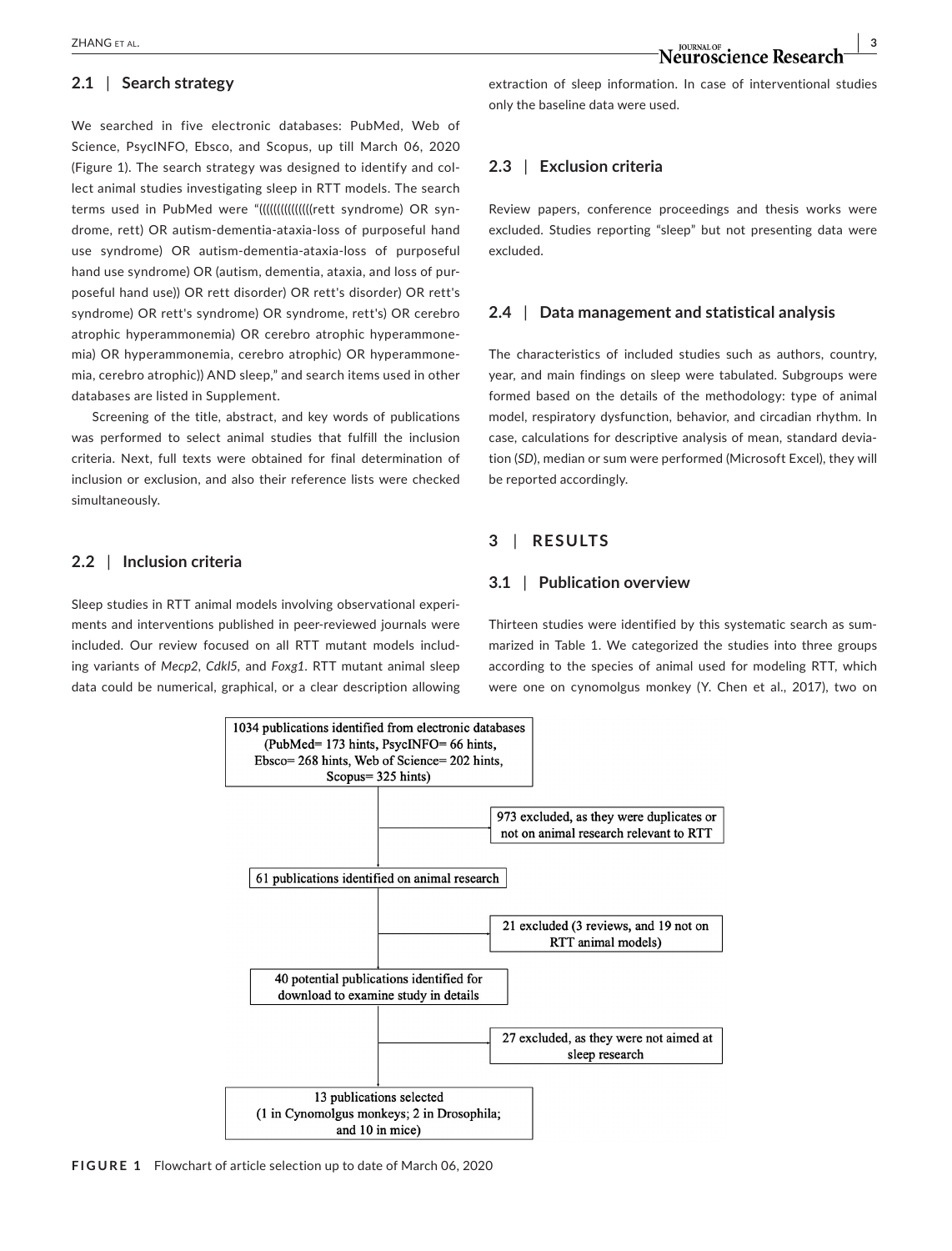#### **2.1** | **Search strategy**

We searched in five electronic databases: PubMed, Web of Science, PsycINFO, Ebsco, and Scopus, up till March 06, 2020 (Figure 1). The search strategy was designed to identify and collect animal studies investigating sleep in RTT models. The search terms used in PubMed were "(((((((((((((((((tt syndrome) OR syndrome, rett) OR autism-dementia-ataxia-loss of purposeful hand use syndrome) OR autism-dementia-ataxia-loss of purposeful hand use syndrome) OR (autism, dementia, ataxia, and loss of purposeful hand use)) OR rett disorder) OR rett's disorder) OR rett's syndrome) OR rett's syndrome) OR syndrome, rett's) OR cerebro atrophic hyperammonemia) OR cerebro atrophic hyperammonemia) OR hyperammonemia, cerebro atrophic) OR hyperammonemia, cerebro atrophic)) AND sleep," and search items used in other databases are listed in Supplement.

Screening of the title, abstract, and key words of publications was performed to select animal studies that fulfill the inclusion criteria. Next, full texts were obtained for final determination of inclusion or exclusion, and also their reference lists were checked simultaneously.

#### **2.2** | **Inclusion criteria**

Sleep studies in RTT animal models involving observational experiments and interventions published in peer-reviewed journals were included. Our review focused on all RTT mutant models including variants of *Mecp2*, *Cdkl5,* and *Foxg1*. RTT mutant animal sleep data could be numerical, graphical, or a clear description allowing extraction of sleep information. In case of interventional studies only the baseline data were used.

#### **2.3** | **Exclusion criteria**

Review papers, conference proceedings and thesis works were excluded. Studies reporting "sleep" but not presenting data were excluded.

#### **2.4** | **Data management and statistical analysis**

The characteristics of included studies such as authors, country, year, and main findings on sleep were tabulated. Subgroups were formed based on the details of the methodology: type of animal model, respiratory dysfunction, behavior, and circadian rhythm. In case, calculations for descriptive analysis of mean, standard deviation (*SD*), median or sum were performed (Microsoft Excel), they will be reported accordingly.

#### **3** | **RESULTS**

#### **3.1** | **Publication overview**

Thirteen studies were identified by this systematic search as summarized in Table 1. We categorized the studies into three groups according to the species of animal used for modeling RTT, which were one on cynomolgus monkey (Y. Chen et al., 2017), two on



**FIGURE 1** Flowchart of article selection up to date of March 06, 2020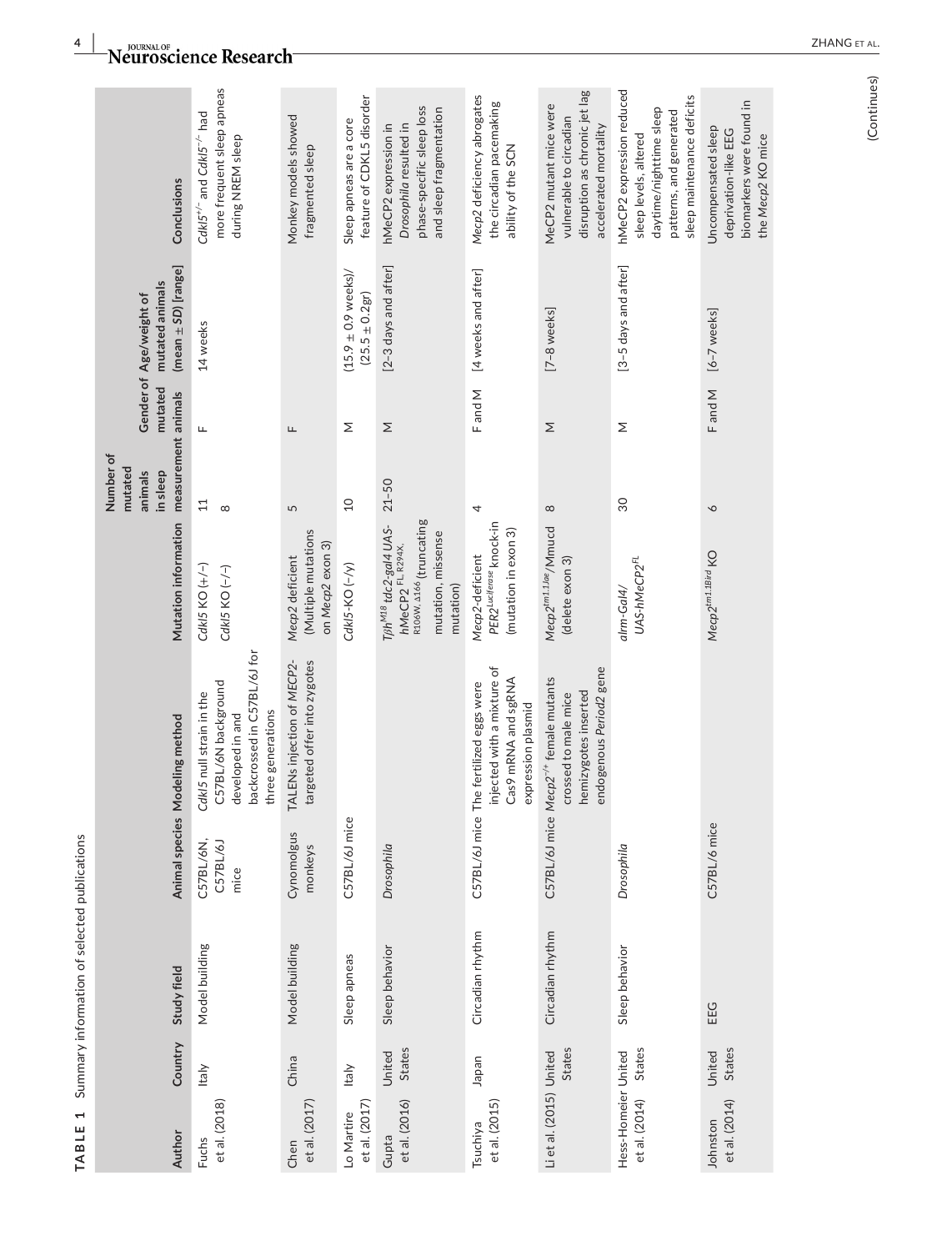| Author                               | Country          | Study field      |                               | Animal species Modeling method                                                                                               | Mutation information                                                                                                            | measurement animals<br>Number of<br>mutated<br>in sleep<br>animals | mutated | $(mean \pm SD)$ [range]<br>mutated animals<br>Gender of Age/weight of | Conclusions                                                                                                                            |
|--------------------------------------|------------------|------------------|-------------------------------|------------------------------------------------------------------------------------------------------------------------------|---------------------------------------------------------------------------------------------------------------------------------|--------------------------------------------------------------------|---------|-----------------------------------------------------------------------|----------------------------------------------------------------------------------------------------------------------------------------|
| et al. (2018)<br>Fuchs               | Italy            | Model building   | C57BL/6N,<br>C57BL/6J<br>mice | backcrossed in C57BL/6J for<br>Cdkl5 null strain in the<br>C57BL/6N background<br>three generations<br>developed in and      | CdkI5 KO (+/-)<br>CdkI5 KO (-/-)                                                                                                | $\Xi$<br>$\infty$                                                  | Щ       | 14 weeks                                                              | more frequent sleep apneas<br>CdkI5 <sup>+/-</sup> and CdkI5 <sup>-/-</sup> had<br>during NREM sleep                                   |
| et al. (2017)<br>Chen                | China            | Model building   | Cynomolgus<br>monkeys         | TALENs injection of MECP2-<br>targeted offer into zygotes                                                                    | (Multiple mutations<br>on Mecp2 exon 3)<br>Mecp2 deficient                                                                      | 5                                                                  | Щ       |                                                                       | Monkey models showed<br>fragmented sleep                                                                                               |
| et al. (2017)<br>Lo Martire          | <b>Italy</b>     | Sleep apneas     | C57BL/6J mice                 |                                                                                                                              | CdkI5-KO (-/y)                                                                                                                  | $\overline{a}$                                                     | Σ       | $(15.9 \pm 0.9$ weeks)/<br>$(25.5 \pm 0.2 \text{gr})$                 | feature of CDKL5 disorder<br>Sleep apneas are a core                                                                                   |
| et al. (2016)<br>Gupta               | States<br>United | Sleep behavior   | Drosophila                    |                                                                                                                              | R106W, A166 (truncating<br>Tßh <sup>M18</sup> tdc2-gal4 UAS-<br>mutation, missense<br>hMeCP2 <sup>FL, R294X,</sup><br>mutation) | $21 - 50$                                                          | Σ       | [2-3 days and after]                                                  | phase-specific sleep loss<br>and sleep fragmentation<br>hMeCP2 expression in<br>Drosophila resulted in                                 |
| et al. (2015)<br><b>Tsuchiya</b>     | Japan            | Circadian rhythm |                               | injected with a mixture of<br>Cas9 mRNA and sgRNA<br>C57BL/6J mice The fertilized eggs were<br>expression plasmid            | PER2 <sup>Luciferase</sup> knock-in<br>(mutation in exon 3)<br>Mecp2-deficient                                                  | 4                                                                  | F and M | [4 weeks and after]                                                   | Mecp2 deficiency abrogates<br>the circadian pacemaking<br>ability of the SCN                                                           |
| Li et al. (2015) United              | States           | Circadian rhythm |                               | endogenous Period2 gene<br>C57BL/6J mice Mecp2 <sup>-/+</sup> female mutants<br>hemizygotes inserted<br>crossed to male mice | Mecp2 <sup>tm1.1Jae</sup> /Mmucd<br>(delete exon 3)                                                                             | $\infty$                                                           | Σ       | [7-8 weeks]                                                           | disruption as chronic jet lag<br>MeCP2 mutant mice were<br>vulnerable to circadian<br>accelerated mortality                            |
| Hess-Homeier United<br>et al. (2014) | States           | Sleep behavior   | Drosophila                    |                                                                                                                              | UAS-hMeCP2 <sup>FL</sup><br>$alm-Gal4/$                                                                                         | $\overline{30}$                                                    | Σ       | [3-5 days and after]                                                  | hMeCP2 expression reduced<br>sleep maintenance deficits<br>daytime/nighttime sleep<br>patterns, and generated<br>sleep levels, altered |
| et al. (2014)<br>Johnston            | States<br>United | EEG              | C57BL/6 mice                  |                                                                                                                              | Mecp2 <sup>tm1.1Bird</sup> KO                                                                                                   | $\circ$                                                            | F and M | $[6-7$ weeks]                                                         | biomarkers were found in<br>Uncompensated sleep<br>deprivation-like EEG<br>the Mecp2 KO mice                                           |

-<br>**Neuroscience Research**-

 $\frac{4}{\ }$ 

**TABLE 1** Summary information of selected publications

TABLE 1 Summary information of selected publications

(Continues) (Continues)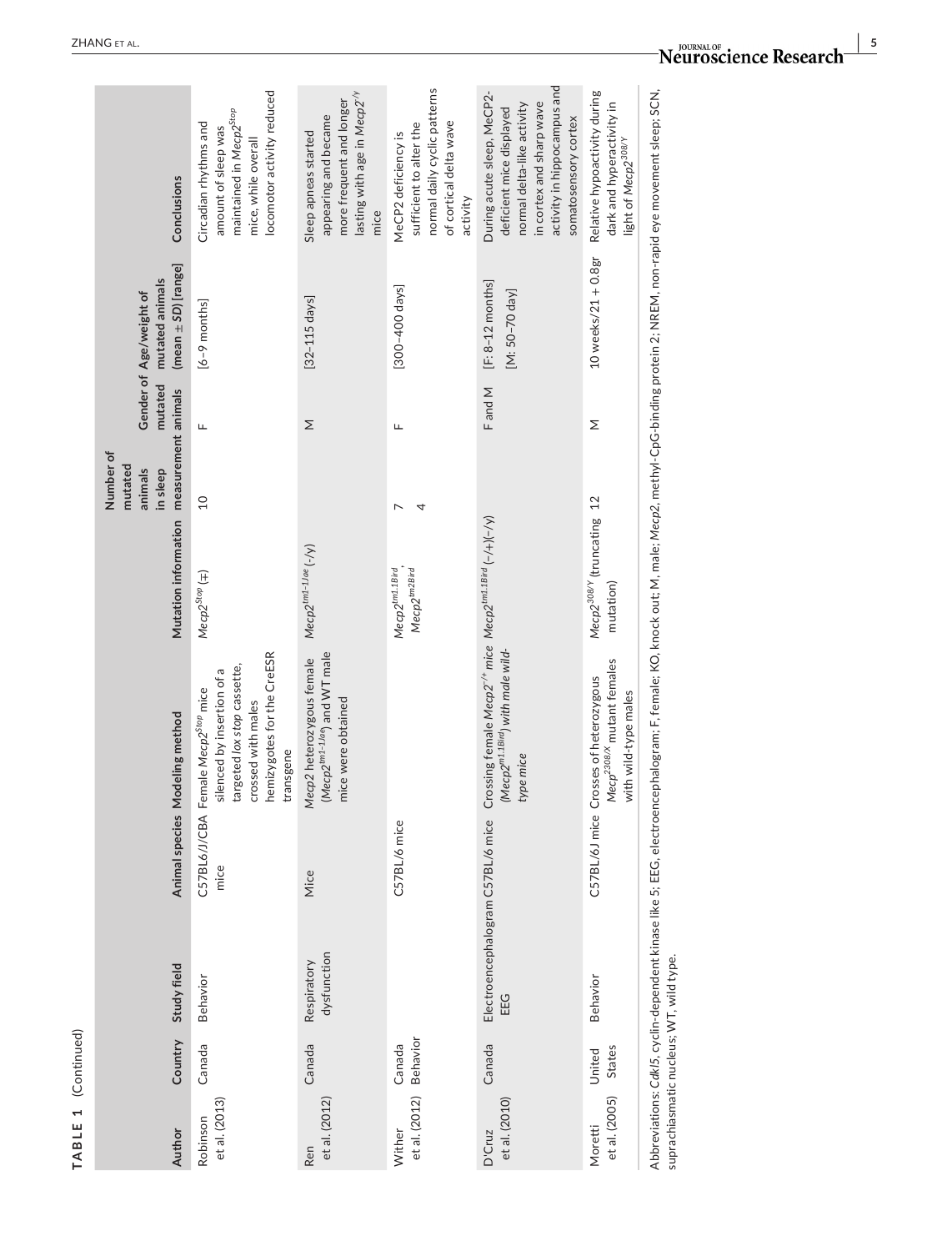| TABLE 1                                 | (Continued)        |                                          |              |                                                                                                                                                                                                   |                                                        |                                                                    |         |                                                                       |                                                                                                                                                                         |
|-----------------------------------------|--------------------|------------------------------------------|--------------|---------------------------------------------------------------------------------------------------------------------------------------------------------------------------------------------------|--------------------------------------------------------|--------------------------------------------------------------------|---------|-----------------------------------------------------------------------|-------------------------------------------------------------------------------------------------------------------------------------------------------------------------|
| Author                                  | Country            | Study field                              |              | Animal species Modeling method                                                                                                                                                                    | Mutation information                                   | measurement animals<br>Number of<br>mutated<br>animals<br>in sleep | mutated | $(mean \pm SD)$ [range]<br>mutated animals<br>Gender of Age/weight of | Conclusions                                                                                                                                                             |
| et al. (2013)<br>Robinson               | Canada             | Behavior                                 | mice         | hemizygotes for the CreESR<br>targeted lox stop cassette,<br>silenced by insertion of a<br>C57BL6/J/CBA Female Mecp2 <sup>5top</sup> mice<br>crossed with males<br>transgene                      | $Mecp2^{Stop}$ (=)                                     | $\overline{0}$                                                     | Щ       | [6-9 months]                                                          | locomotor activity reduced<br>maintained in Mecp2 <sup>Stop</sup><br>Circadian rhythms and<br>amount of sleep was<br>mice, while overall                                |
| et al. (2012)<br>Ren                    | Canada             | dysfunction<br>Respiratory               | Mice         | (Mecp2 <sup>tm1-1Jae</sup> ) and WT male<br>Mecp2 heterozygous female<br>mice were obtained                                                                                                       | $Mecp2^{tm1-1Jae}$ $(-/y)$                             |                                                                    | Σ       | $[32-115 \text{ days}]$                                               | lasting with age in Mecp2 <sup>-/y</sup><br>more frequent and longer<br>appearing and became<br>Sleep apneas started<br>mice                                            |
| et al. (2012)<br>Wither                 | Behavior<br>Canada |                                          | C57BL/6 mice |                                                                                                                                                                                                   | Mecp2 <sup>tm2Bird</sup><br>Mecp2 <sup>tm1.1Bird</sup> | 4                                                                  | щ       | [300-400 days]                                                        | normal daily cyclic patterns<br>of cortical delta wave<br>sufficient to alter the<br>MeCP2 deficiency is<br>activity                                                    |
| et al. (2010)<br>D'Cruz                 | Canada             | Electroencephalogram C57BL/6 mice<br>EEG |              | Crossing female Mecp2 <sup>-/+</sup> mice Mecp2 <sup>tm1.1Bird</sup> (-/+)(-/y)<br>(Mecp2 <sup>m1.1Bird</sup> ) with male wild-<br>type mice                                                      |                                                        |                                                                    | F and M | $[F: 8-12$ months]<br>$[M: 50 - 70 \text{ day}]$                      | activity in hippocampus and<br>During acute sleep, MeCP2-<br>in cortex and sharp wave<br>normal delta-like activity<br>deficient mice displayed<br>somatosensory cortex |
| et al. (2005)<br>Moretti                | States<br>United   | Behavior                                 |              | Mecp <sup>2308/X</sup> mutant females<br>C57BL/6J mice Crosses of heterozygous<br>with wild-type males                                                                                            | Mecp2 <sup>308/Y</sup> (truncating 12<br>mutation)     |                                                                    | Σ       | $10$ weeks/ $21 + 0.8$ gr                                             | Relative hypoactivity during<br>dark and hyperactivity in<br>light of Mecp2 <sup>308/Y</sup>                                                                            |
| suprachiasmatic nucleus; WT, wild type. |                    |                                          |              | Abbreviations: Cdkl5, cyclin-dependent kinase like 5; EEG, electroencephalogram; F, female; KO, knock out; M, male; Mecp2, methyl-CpG-binding protein 2; NREM, non-rapid eye movement sleep; SCN. |                                                        |                                                                    |         |                                                                       |                                                                                                                                                                         |

### **|** ZHANG et al. **5**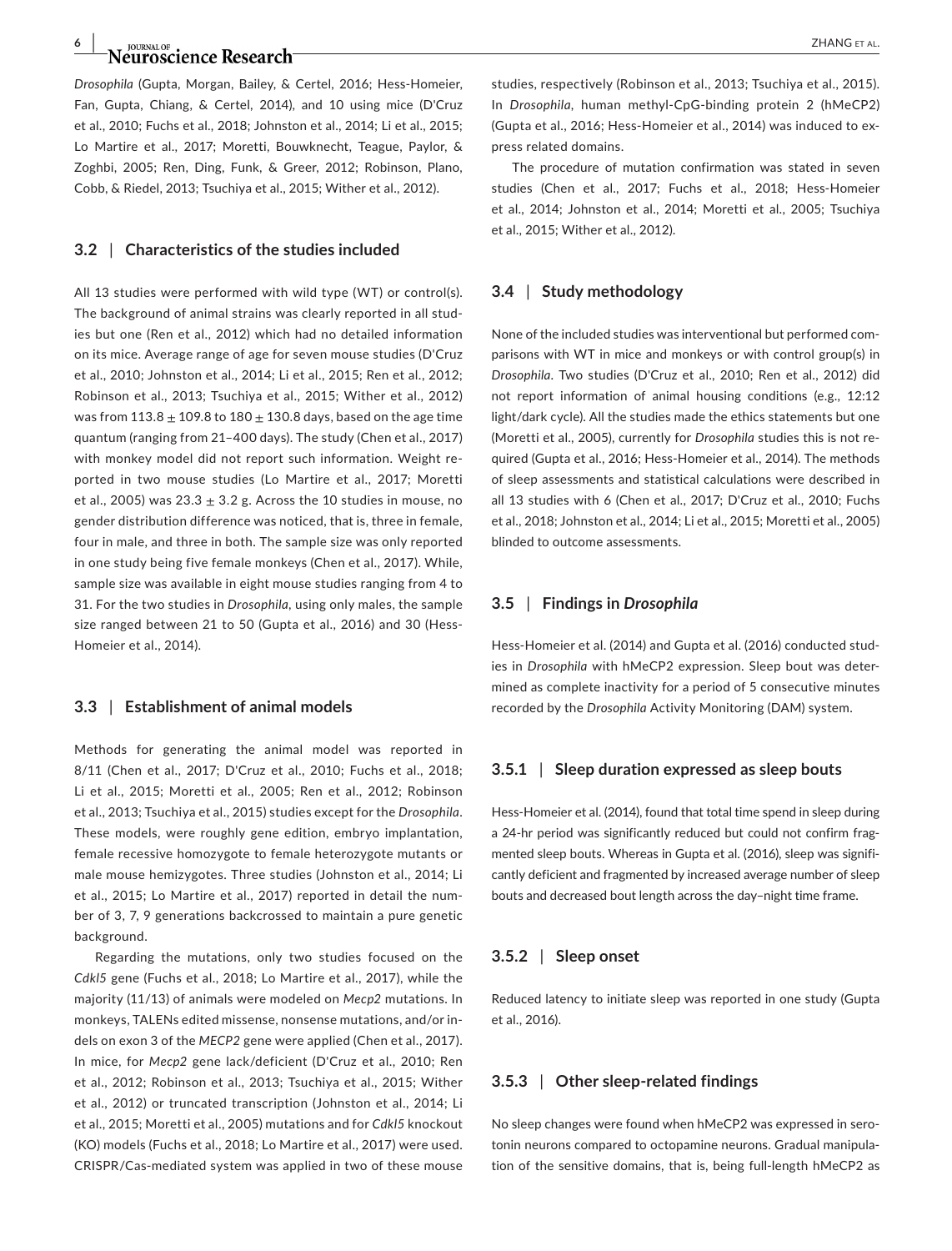### **6**  $\overline{\phantom{a}}$  **d**  $\overline{\phantom{a}}$  **d**  $\overline{\phantom{a}}$  **d**  $\overline{\phantom{a}}$  **z**  $\overline{\phantom{a}}$  **d**  $\overline{\phantom{a}}$  **z**  $\overline{\phantom{a}}$  **z**  $\overline{\phantom{a}}$  **z**  $\overline{\phantom{a}}$  **z**  $\overline{\phantom{a}}$  **z**  $\overline{\phantom{a}}$  **z**  $\overline{\phantom{a}}$  **z**  $\overline{\phantom{a}}$  **z**  $\overline{\phantom{a}}$

*Drosophila* (Gupta, Morgan, Bailey, & Certel, 2016; Hess-Homeier, Fan, Gupta, Chiang, & Certel, 2014), and 10 using mice (D'Cruz et al., 2010; Fuchs et al., 2018; Johnston et al., 2014; Li et al., 2015; Lo Martire et al., 2017; Moretti, Bouwknecht, Teague, Paylor, & Zoghbi, 2005; Ren, Ding, Funk, & Greer, 2012; Robinson, Plano, Cobb, & Riedel, 2013; Tsuchiya et al., 2015; Wither et al., 2012).

#### **3.2** | **Characteristics of the studies included**

All 13 studies were performed with wild type (WT) or control(s). The background of animal strains was clearly reported in all studies but one (Ren et al., 2012) which had no detailed information on its mice. Average range of age for seven mouse studies (D'Cruz et al., 2010; Johnston et al., 2014; Li et al., 2015; Ren et al., 2012; Robinson et al., 2013; Tsuchiya et al., 2015; Wither et al., 2012) was from  $113.8 \pm 109.8$  to  $180 \pm 130.8$  days, based on the age time quantum (ranging from 21–400 days). The study (Chen et al., 2017) with monkey model did not report such information. Weight reported in two mouse studies (Lo Martire et al., 2017; Moretti et al., 2005) was  $23.3 \pm 3.2$  g. Across the 10 studies in mouse, no gender distribution difference was noticed, that is, three in female, four in male, and three in both. The sample size was only reported in one study being five female monkeys (Chen et al., 2017). While, sample size was available in eight mouse studies ranging from 4 to 31. For the two studies in *Drosophila,* using only males, the sample size ranged between 21 to 50 (Gupta et al., 2016) and 30 (Hess-Homeier et al., 2014).

#### **3.3** | **Establishment of animal models**

Methods for generating the animal model was reported in 8/11 (Chen et al., 2017; D'Cruz et al., 2010; Fuchs et al., 2018; Li et al., 2015; Moretti et al., 2005; Ren et al., 2012; Robinson et al., 2013; Tsuchiya et al., 2015) studies except for the *Drosophila*. These models, were roughly gene edition, embryo implantation, female recessive homozygote to female heterozygote mutants or male mouse hemizygotes. Three studies (Johnston et al., 2014; Li et al., 2015; Lo Martire et al., 2017) reported in detail the number of 3, 7, 9 generations backcrossed to maintain a pure genetic background.

Regarding the mutations, only two studies focused on the *Cdkl5* gene (Fuchs et al., 2018; Lo Martire et al., 2017), while the majority (11/13) of animals were modeled on *Mecp2* mutations. In monkeys, TALENs edited missense, nonsense mutations, and/or indels on exon 3 of the *MECP2* gene were applied (Chen et al., 2017). In mice, for *Mecp2* gene lack/deficient (D'Cruz et al., 2010; Ren et al., 2012; Robinson et al., 2013; Tsuchiya et al., 2015; Wither et al., 2012) or truncated transcription (Johnston et al., 2014; Li et al., 2015; Moretti et al., 2005) mutations and for *Cdkl5* knockout (KO) models (Fuchs et al., 2018; Lo Martire et al., 2017) were used. CRISPR/Cas-mediated system was applied in two of these mouse

studies, respectively (Robinson et al., 2013; Tsuchiya et al., 2015). In *Drosophila*, human methyl-CpG-binding protein 2 (hMeCP2) (Gupta et al., 2016; Hess-Homeier et al., 2014) was induced to express related domains.

The procedure of mutation confirmation was stated in seven studies (Chen et al., 2017; Fuchs et al., 2018; Hess-Homeier et al., 2014; Johnston et al., 2014; Moretti et al., 2005; Tsuchiya et al., 2015; Wither et al., 2012).

#### **3.4** | **Study methodology**

None of the included studies was interventional but performed comparisons with WT in mice and monkeys or with control group(s) in *Drosophila*. Two studies (D'Cruz et al., 2010; Ren et al., 2012) did not report information of animal housing conditions (e.g., 12:12 light/dark cycle). All the studies made the ethics statements but one (Moretti et al., 2005), currently for *Drosophila* studies this is not required (Gupta et al., 2016; Hess-Homeier et al., 2014). The methods of sleep assessments and statistical calculations were described in all 13 studies with 6 (Chen et al., 2017; D'Cruz et al., 2010; Fuchs et al., 2018; Johnston et al., 2014; Li et al., 2015; Moretti et al., 2005) blinded to outcome assessments.

#### **3.5** | **Findings in** *Drosophila*

Hess-Homeier et al. (2014) and Gupta et al. (2016) conducted studies in *Drosophila* with hMeCP2 expression. Sleep bout was determined as complete inactivity for a period of 5 consecutive minutes recorded by the *Drosophila* Activity Monitoring (DAM) system.

#### **3.5.1** | **Sleep duration expressed as sleep bouts**

Hess-Homeier et al. (2014), found that total time spend in sleep during a 24-hr period was significantly reduced but could not confirm fragmented sleep bouts. Whereas in Gupta et al. (2016), sleep was significantly deficient and fragmented by increased average number of sleep bouts and decreased bout length across the day–night time frame.

#### **3.5.2** | **Sleep onset**

Reduced latency to initiate sleep was reported in one study (Gupta et al., 2016).

#### **3.5.3** | **Other sleep-related findings**

No sleep changes were found when hMeCP2 was expressed in serotonin neurons compared to octopamine neurons. Gradual manipulation of the sensitive domains, that is, being full-length hMeCP2 as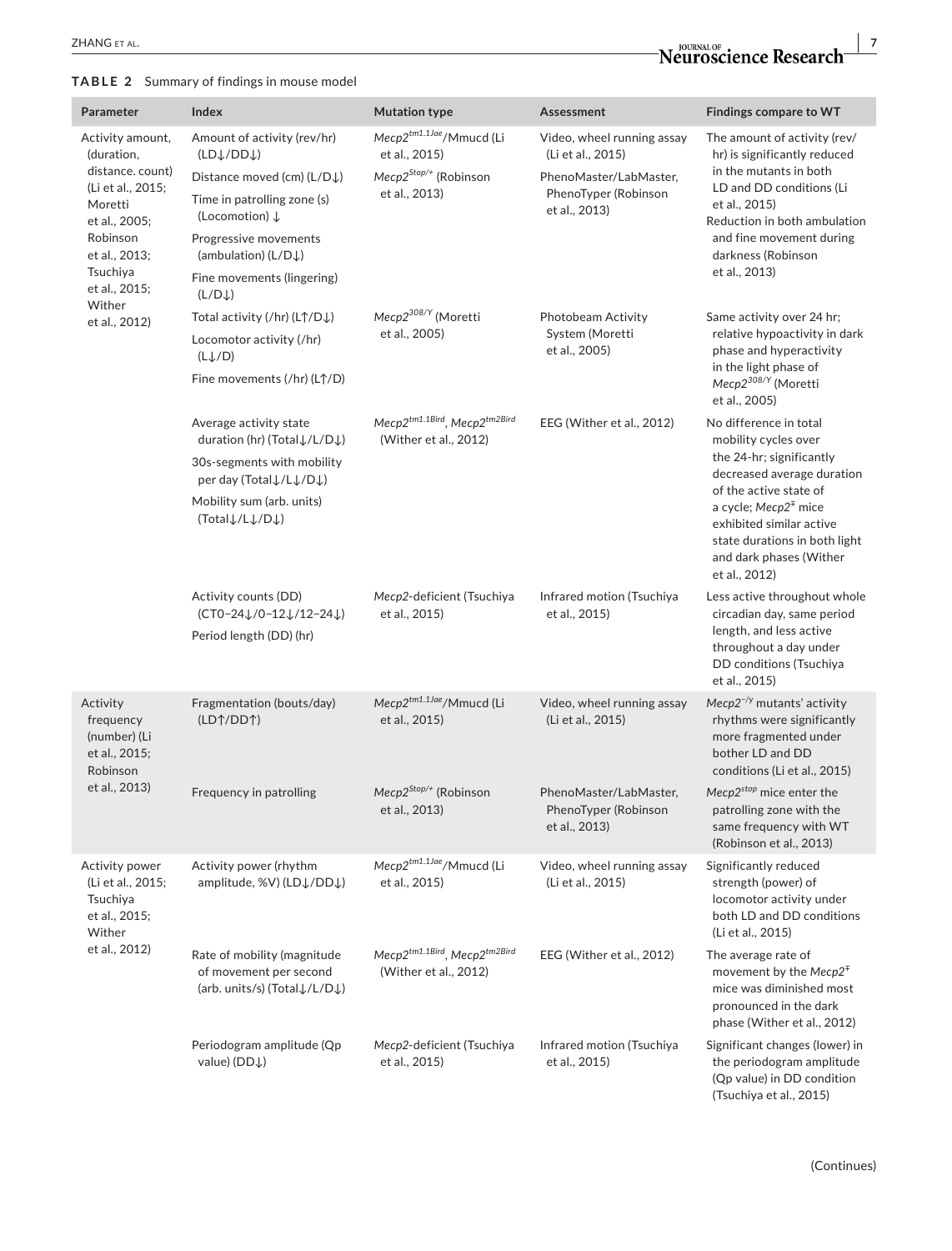#### **TABLE 2** Summary of findings in mouse model

| Parameter                                                                                   | Index                                                                                 | <b>Mutation type</b>                                  | Assessment                                                      | Findings compare to WT                                                                                                                                              |
|---------------------------------------------------------------------------------------------|---------------------------------------------------------------------------------------|-------------------------------------------------------|-----------------------------------------------------------------|---------------------------------------------------------------------------------------------------------------------------------------------------------------------|
| Activity amount,<br>(duration,                                                              | Amount of activity (rev/hr)<br>(LDJ/DDJ)                                              | Mecp2tm1.1Jae/Mmucd (Li<br>et al., 2015)              | Video, wheel running assay<br>(Li et al., 2015)                 | The amount of activity (rev/<br>hr) is significantly reduced                                                                                                        |
| distance. count)                                                                            | Distance moved (cm) (L/D↓)                                                            | Mecp2 <sup>Stop/+</sup> (Robinson                     | PhenoMaster/LabMaster,                                          | in the mutants in both                                                                                                                                              |
| (Li et al., 2015;<br>Moretti<br>et al., 2005;                                               | Time in patrolling zone (s)<br>(Locomotion) $\downarrow$                              | et al., 2013)                                         | PhenoTyper (Robinson<br>et al., 2013)                           | LD and DD conditions (Li<br>et al., 2015)<br>Reduction in both ambulation                                                                                           |
| Robinson<br>et al., 2013;                                                                   | Progressive movements<br>(ambulation) ( $L/DJ$ )                                      |                                                       |                                                                 | and fine movement during<br>darkness (Robinson                                                                                                                      |
| Tsuchiya<br>et al., 2015;<br>Wither                                                         | Fine movements (lingering)<br>(L/DJ)                                                  |                                                       |                                                                 | et al., 2013)                                                                                                                                                       |
| et al., 2012)                                                                               | Total activity (/hr) (LT/DJ)                                                          | Mecp2 <sup>308/Y</sup> (Moretti                       | Photobeam Activity                                              | Same activity over 24 hr;                                                                                                                                           |
|                                                                                             | Locomotor activity (/hr)<br>$(L \downarrow / D)$                                      | et al., 2005)                                         | System (Moretti<br>et al., 2005)                                | relative hypoactivity in dark<br>phase and hyperactivity<br>in the light phase of                                                                                   |
|                                                                                             | Fine movements (/hr) (L↑/D)                                                           |                                                       |                                                                 | Mecp2 <sup>308/Y</sup> (Moretti<br>et al., 2005)                                                                                                                    |
|                                                                                             | Average activity state<br>duration (hr) (Total↓/L/D↓)                                 | Mecp2tm1.1Bird, Mecp2tm2Bird<br>(Wither et al., 2012) | EEG (Wither et al., 2012)                                       | No difference in total<br>mobility cycles over                                                                                                                      |
|                                                                                             | 30s-segments with mobility<br>per day (Total↓/L↓/D↓)                                  |                                                       |                                                                 | the 24-hr; significantly<br>decreased average duration                                                                                                              |
|                                                                                             | Mobility sum (arb. units)<br>(Total L/L L/D L)                                        |                                                       |                                                                 | of the active state of<br>a cycle; Mecp2 <sup>∓</sup> mice<br>exhibited similar active<br>state durations in both light<br>and dark phases (Wither<br>et al., 2012) |
|                                                                                             | Activity counts (DD)<br>(CT0-24 L/0-12 L/12-24 L)<br>Period length (DD) (hr)          | Mecp2-deficient (Tsuchiya<br>et al., 2015)            | Infrared motion (Tsuchiya<br>et al., 2015)                      | Less active throughout whole<br>circadian day, same period<br>length, and less active<br>throughout a day under<br>DD conditions (Tsuchiya<br>et al., 2015)         |
| Activity<br>frequency<br>(number) (Li<br>et al., 2015;<br>Robinson                          | Fragmentation (bouts/day)<br>(LDT/DDT)                                                | Mecp2tm1.1Jae/Mmucd (Li<br>et al., 2015)              | Video, wheel running assay<br>(Li et al., 2015)                 | $Mecp2^{-/y}$ mutants' activity<br>rhythms were significantly<br>more fragmented under<br>bother LD and DD<br>conditions (Li et al., 2015)                          |
| et al., 2013)                                                                               | Frequency in patrolling                                                               | Mecp2 <sup>Stop/+</sup> (Robinson<br>et al., 2013)    | PhenoMaster/LabMaster,<br>PhenoTyper (Robinson<br>et al., 2013) | Mecp2 <sup>stop</sup> mice enter the<br>patrolling zone with the<br>same frequency with WT<br>(Robinson et al., 2013)                                               |
| Activity power<br>(Li et al., 2015;<br>Tsuchiya<br>et al., 2015;<br>Wither<br>et al., 2012) | Activity power (rhythm<br>amplitude, %V) (LDJ/DDJ)                                    | Mecp2tm1.1Jae/Mmucd (Li<br>et al., 2015)              | Video, wheel running assay<br>(Li et al., 2015)                 | Significantly reduced<br>strength (power) of<br>locomotor activity under<br>both LD and DD conditions<br>(Li et al., 2015)                                          |
|                                                                                             | Rate of mobility (magnitude<br>of movement per second<br>(arb. units/s) (Total↓/L/D↓) | Mecp2tm1.1Bird, Mecp2tm2Bird<br>(Wither et al., 2012) | EEG (Wither et al., 2012)                                       | The average rate of<br>movement by the Mecp2 <sup><math>#</math></sup><br>mice was diminished most<br>pronounced in the dark<br>phase (Wither et al., 2012)         |
|                                                                                             | Periodogram amplitude (Qp<br>value) (DD↓)                                             | Mecp2-deficient (Tsuchiya<br>et al., 2015)            | Infrared motion (Tsuchiya<br>et al., 2015)                      | Significant changes (lower) in<br>the periodogram amplitude<br>(Qp value) in DD condition<br>(Tsuchiya et al., 2015)                                                |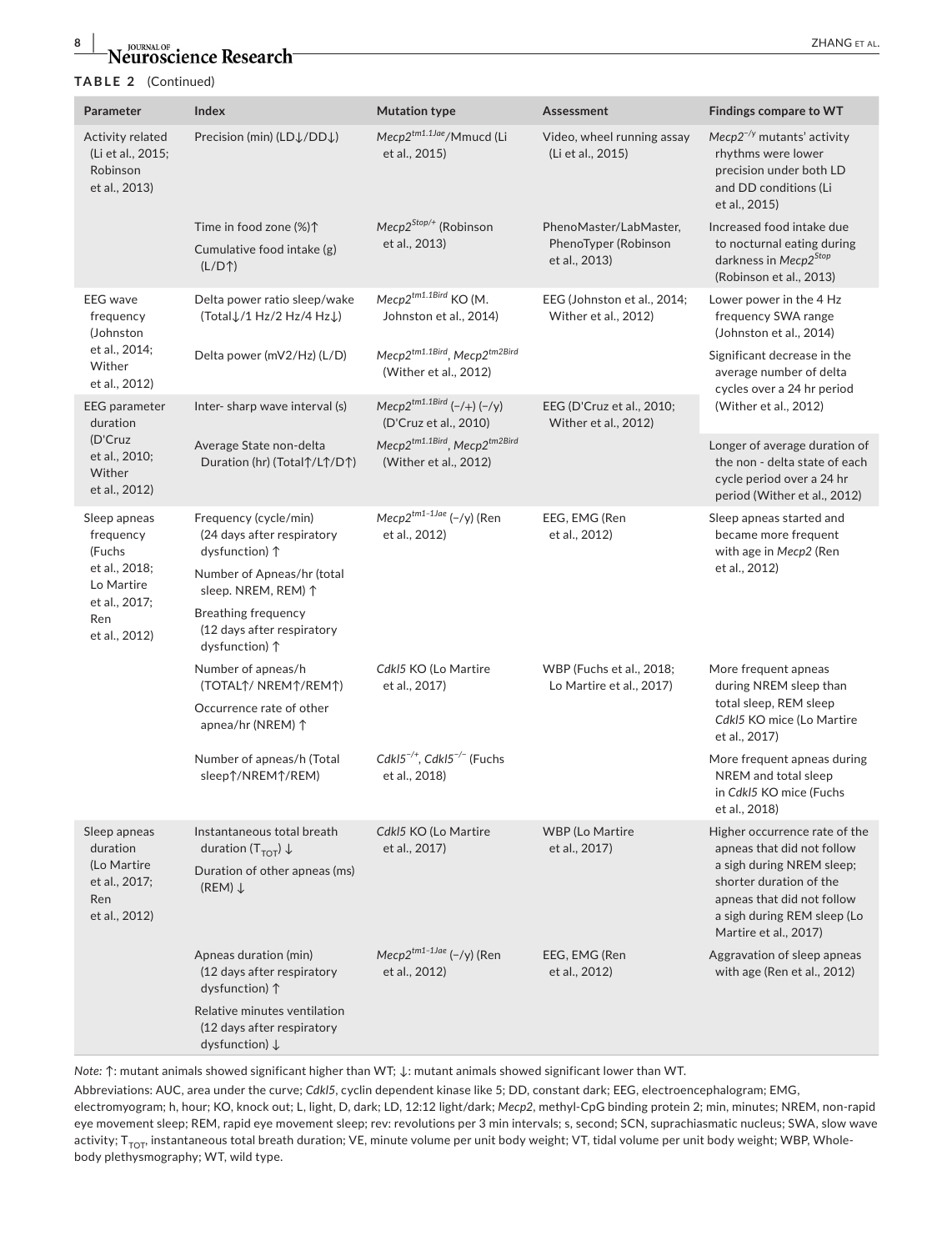# **8** *Neuroscience Research ZHANG ET AL.*

#### **TABLE 2** (Continued)

| Parameter                                                                               | Index                                                                                    | <b>Mutation type</b>                                                | Assessment                                                      | Findings compare to WT                                                                                                                     |
|-----------------------------------------------------------------------------------------|------------------------------------------------------------------------------------------|---------------------------------------------------------------------|-----------------------------------------------------------------|--------------------------------------------------------------------------------------------------------------------------------------------|
| Activity related<br>(Li et al., 2015;<br>Robinson<br>et al., 2013)                      | Precision (min) (LD $\downarrow$ /DD $\downarrow$ )                                      | Mecp2tm1.1Jae/Mmucd (Li<br>et al., 2015)                            | Video, wheel running assay<br>(Li et al., 2015)                 | $Mecp2^{-/y}$ mutants' activity<br>rhythms were lower<br>precision under both LD<br>and DD conditions (Li<br>et al., 2015)                 |
|                                                                                         | Time in food zone (%) 1<br>Cumulative food intake (g)<br>$(L/D+)$                        | Mecp2 <sup>Stop/+</sup> (Robinson<br>et al., 2013)                  | PhenoMaster/LabMaster,<br>PhenoTyper (Robinson<br>et al., 2013) | Increased food intake due<br>to nocturnal eating during<br>darkness in Mecp2 <sup>Stop</sup><br>(Robinson et al., 2013)                    |
| <b>EEG</b> wave<br>frequency<br>(Johnston                                               | Delta power ratio sleep/wake<br>(TotalJ/1 Hz/2 Hz/4 HzJ)                                 | Mecp2tm1.1Bird KO (M.<br>Johnston et al., 2014)                     | EEG (Johnston et al., 2014;<br>Wither et al., 2012)             | Lower power in the 4 Hz<br>frequency SWA range<br>(Johnston et al., 2014)                                                                  |
| et al., 2014;<br>Wither<br>et al., 2012)                                                | Delta power (mV2/Hz) (L/D)                                                               | Mecp2tm1.1Bird, Mecp2tm2Bird<br>(Wither et al., 2012)               |                                                                 | Significant decrease in the<br>average number of delta<br>cycles over a 24 hr period                                                       |
| <b>EEG</b> parameter<br>duration<br>(D'Cruz<br>et al., 2010;<br>Wither<br>et al., 2012) | Inter-sharp wave interval (s)                                                            | Mecp2 <sup>tm1.1Bird</sup> $(-/+)$ $(-/y)$<br>(D'Cruz et al., 2010) | EEG (D'Cruz et al., 2010;<br>Wither et al., 2012)               | (Wither et al., 2012)                                                                                                                      |
|                                                                                         | Average State non-delta<br>Duration (hr) (Total $\uparrow$ /L $\uparrow$ /D $\uparrow$ ) | Mecp2tm1.1Bird, Mecp2tm2Bird<br>(Wither et al., 2012)               |                                                                 | Longer of average duration of<br>the non - delta state of each<br>cycle period over a 24 hr<br>period (Wither et al., 2012)                |
| Sleep apneas<br>frequency<br>(Fuchs                                                     | Frequency (cycle/min)<br>(24 days after respiratory<br>dysfunction) 1                    | Mecp2tm1-1Jae (-/y) (Ren<br>et al., 2012)                           | EEG, EMG (Ren<br>et al., 2012)                                  | Sleep apneas started and<br>became more frequent<br>with age in Mecp2 (Ren                                                                 |
| et al., 2018;<br>Lo Martire                                                             | Number of Apneas/hr (total<br>sleep. NREM, REM) 1                                        |                                                                     |                                                                 | et al., 2012)                                                                                                                              |
| et al., 2017;<br>Ren<br>et al., 2012)                                                   | <b>Breathing frequency</b><br>(12 days after respiratory<br>dysfunction) 1               |                                                                     |                                                                 |                                                                                                                                            |
|                                                                                         | Number of apneas/h<br>(TOTALT/ NREMT/REMT)                                               | CdkI5 KO (Lo Martire<br>et al., 2017)                               | WBP (Fuchs et al., 2018;<br>Lo Martire et al., 2017)            | More frequent apneas<br>during NREM sleep than                                                                                             |
|                                                                                         | Occurrence rate of other<br>apnea/hr (NREM) ↑                                            |                                                                     |                                                                 | total sleep, REM sleep<br>CdkI5 KO mice (Lo Martire<br>et al., 2017)                                                                       |
|                                                                                         | Number of apneas/h (Total<br>sleep $\uparrow$ /NREM $\uparrow$ /REM)                     | CdkI5 <sup>-/+</sup> , CdkI5 <sup>-/-</sup> (Fuchs<br>et al., 2018) |                                                                 | More frequent apneas during<br>NREM and total sleep<br>in CdkI5 KO mice (Fuchs<br>et al., 2018)                                            |
| Sleep apneas<br>duration<br>(Lo Martire<br>et al., 2017;<br>Ren<br>et al., 2012)        | Instantaneous total breath<br>duration ( $T_{TOT}$ ) $\downarrow$                        | CdkI5 KO (Lo Martire<br>et al., 2017)                               | <b>WBP</b> (Lo Martire<br>et al., 2017)                         | Higher occurrence rate of the<br>apneas that did not follow                                                                                |
|                                                                                         | Duration of other apneas (ms)<br>$(REM) \downarrow$                                      |                                                                     |                                                                 | a sigh during NREM sleep;<br>shorter duration of the<br>apneas that did not follow<br>a sigh during REM sleep (Lo<br>Martire et al., 2017) |
|                                                                                         | Apneas duration (min)<br>(12 days after respiratory<br>dysfunction) 1                    | Mecp2tm1-1Jae (-/y) (Ren<br>et al., 2012)                           | EEG, EMG (Ren<br>et al., 2012)                                  | Aggravation of sleep apneas<br>with age (Ren et al., 2012)                                                                                 |
|                                                                                         | Relative minutes ventilation<br>(12 days after respiratory<br>dysfunction) $\downarrow$  |                                                                     |                                                                 |                                                                                                                                            |

*Note:* ↑: mutant animals showed significant higher than WT; ↓: mutant animals showed significant lower than WT.

Abbreviations: AUC, area under the curve; *Cdkl5*, cyclin dependent kinase like 5; DD, constant dark; EEG, electroencephalogram; EMG, electromyogram; h, hour; KO, knock out; L, light, D, dark; LD, 12:12 light/dark; *Mecp2*, methyl-CpG binding protein 2; min, minutes; NREM, non-rapid eye movement sleep; REM, rapid eye movement sleep; rev: revolutions per 3 min intervals; s, second; SCN, suprachiasmatic nucleus; SWA, slow wave activity;  $T_{TOT}$ , instantaneous total breath duration; VE, minute volume per unit body weight; VT, tidal volume per unit body weight; WBP, Wholebody plethysmography; WT, wild type.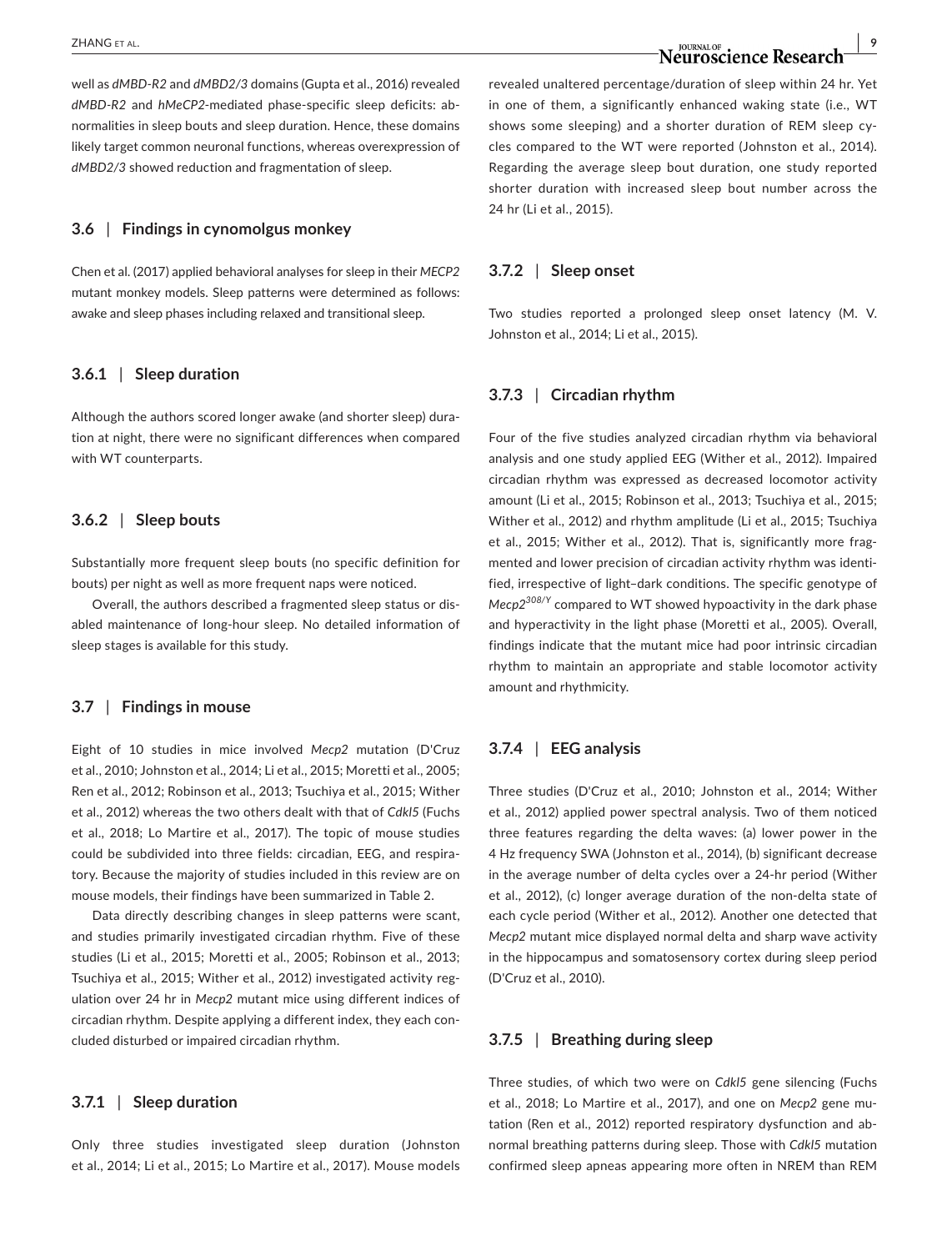## *ZHANG ET AL.* **<b>DURNAL OF DURNAL OF AL. 9 N OURNAL OF AL. N OURNAL OF AL. N OURNAL OF AL. POWERFORD**

well as *dMBD-R2* and *dMBD2/3* domains (Gupta et al., 2016) revealed *dMBD-R2* and *hMeCP2*-mediated phase-specific sleep deficits: abnormalities in sleep bouts and sleep duration. Hence, these domains likely target common neuronal functions, whereas overexpression of *dMBD2/3* showed reduction and fragmentation of sleep.

#### **3.6** | **Findings in cynomolgus monkey**

Chen et al. (2017) applied behavioral analyses for sleep in their *MECP2* mutant monkey models. Sleep patterns were determined as follows: awake and sleep phases including relaxed and transitional sleep.

#### **3.6.1** | **Sleep duration**

Although the authors scored longer awake (and shorter sleep) duration at night, there were no significant differences when compared with WT counterparts.

#### **3.6.2** | **Sleep bouts**

Substantially more frequent sleep bouts (no specific definition for bouts) per night as well as more frequent naps were noticed.

Overall, the authors described a fragmented sleep status or disabled maintenance of long-hour sleep. No detailed information of sleep stages is available for this study.

#### **3.7** | **Findings in mouse**

Eight of 10 studies in mice involved *Mecp2* mutation (D'Cruz et al., 2010; Johnston et al., 2014; Li et al., 2015; Moretti et al., 2005; Ren et al., 2012; Robinson et al., 2013; Tsuchiya et al., 2015; Wither et al., 2012) whereas the two others dealt with that of *Cdkl5* (Fuchs et al., 2018; Lo Martire et al., 2017). The topic of mouse studies could be subdivided into three fields: circadian, EEG, and respiratory. Because the majority of studies included in this review are on mouse models, their findings have been summarized in Table 2.

Data directly describing changes in sleep patterns were scant, and studies primarily investigated circadian rhythm. Five of these studies (Li et al., 2015; Moretti et al., 2005; Robinson et al., 2013; Tsuchiya et al., 2015; Wither et al., 2012) investigated activity regulation over 24 hr in *Mecp2* mutant mice using different indices of circadian rhythm. Despite applying a different index, they each concluded disturbed or impaired circadian rhythm.

#### **3.7.1** | **Sleep duration**

Only three studies investigated sleep duration (Johnston et al., 2014; Li et al., 2015; Lo Martire et al., 2017). Mouse models revealed unaltered percentage/duration of sleep within 24 hr. Yet in one of them, a significantly enhanced waking state (i.e., WT shows some sleeping) and a shorter duration of REM sleep cycles compared to the WT were reported (Johnston et al., 2014). Regarding the average sleep bout duration, one study reported shorter duration with increased sleep bout number across the 24 hr (Li et al., 2015).

#### **3.7.2** | **Sleep onset**

Two studies reported a prolonged sleep onset latency (M. V. Johnston et al., 2014; Li et al., 2015).

#### **3.7.3** | **Circadian rhythm**

Four of the five studies analyzed circadian rhythm via behavioral analysis and one study applied EEG (Wither et al., 2012). Impaired circadian rhythm was expressed as decreased locomotor activity amount (Li et al., 2015; Robinson et al., 2013; Tsuchiya et al., 2015; Wither et al., 2012) and rhythm amplitude (Li et al., 2015; Tsuchiya et al., 2015; Wither et al., 2012). That is, significantly more fragmented and lower precision of circadian activity rhythm was identified, irrespective of light–dark conditions. The specific genotype of *Mecp2308/Y* compared to WT showed hypoactivity in the dark phase and hyperactivity in the light phase (Moretti et al., 2005). Overall, findings indicate that the mutant mice had poor intrinsic circadian rhythm to maintain an appropriate and stable locomotor activity amount and rhythmicity.

#### **3.7.4** | **EEG analysis**

Three studies (D'Cruz et al., 2010; Johnston et al., 2014; Wither et al., 2012) applied power spectral analysis. Two of them noticed three features regarding the delta waves: (a) lower power in the 4 Hz frequency SWA (Johnston et al., 2014), (b) significant decrease in the average number of delta cycles over a 24-hr period (Wither et al., 2012), (c) longer average duration of the non-delta state of each cycle period (Wither et al., 2012). Another one detected that *Mecp2* mutant mice displayed normal delta and sharp wave activity in the hippocampus and somatosensory cortex during sleep period (D'Cruz et al., 2010).

#### **3.7.5** | **Breathing during sleep**

Three studies, of which two were on *Cdkl5* gene silencing (Fuchs et al., 2018; Lo Martire et al., 2017), and one on *Mecp2* gene mutation (Ren et al., 2012) reported respiratory dysfunction and abnormal breathing patterns during sleep. Those with *Cdkl5* mutation confirmed sleep apneas appearing more often in NREM than REM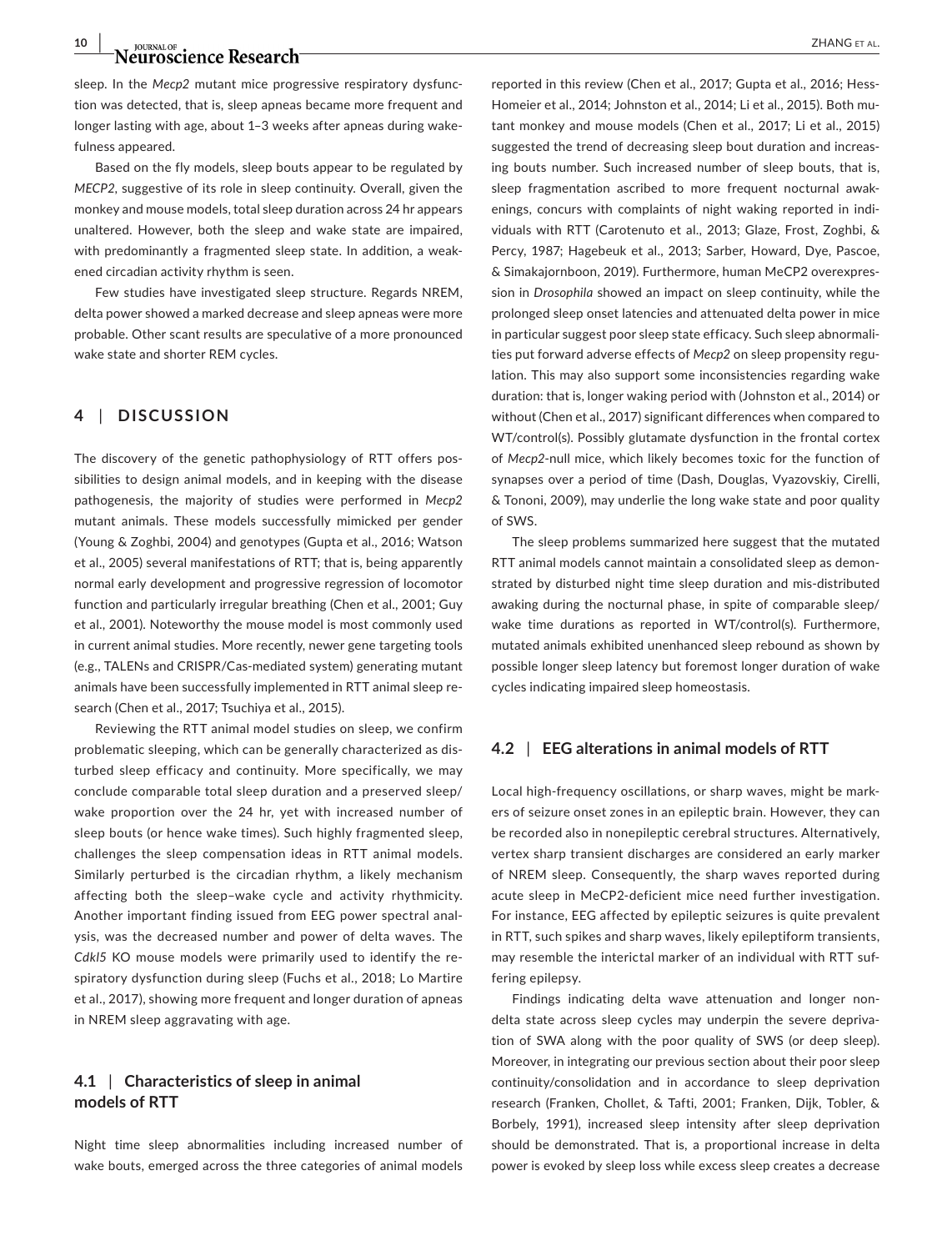sleep. In the *Mecp2* mutant mice progressive respiratory dysfunction was detected, that is, sleep apneas became more frequent and longer lasting with age, about 1–3 weeks after apneas during wakefulness appeared.

Based on the fly models, sleep bouts appear to be regulated by *MECP2*, suggestive of its role in sleep continuity. Overall, given the monkey and mouse models, total sleep duration across 24 hr appears unaltered. However, both the sleep and wake state are impaired, with predominantly a fragmented sleep state. In addition, a weakened circadian activity rhythm is seen.

Few studies have investigated sleep structure. Regards NREM, delta power showed a marked decrease and sleep apneas were more probable. Other scant results are speculative of a more pronounced wake state and shorter REM cycles.

#### **4** | **DISCUSSION**

The discovery of the genetic pathophysiology of RTT offers possibilities to design animal models, and in keeping with the disease pathogenesis, the majority of studies were performed in *Mecp2* mutant animals. These models successfully mimicked per gender (Young & Zoghbi, 2004) and genotypes (Gupta et al., 2016; Watson et al., 2005) several manifestations of RTT; that is, being apparently normal early development and progressive regression of locomotor function and particularly irregular breathing (Chen et al., 2001; Guy et al., 2001). Noteworthy the mouse model is most commonly used in current animal studies. More recently, newer gene targeting tools (e.g., TALENs and CRISPR/Cas-mediated system) generating mutant animals have been successfully implemented in RTT animal sleep research (Chen et al., 2017; Tsuchiya et al., 2015).

Reviewing the RTT animal model studies on sleep, we confirm problematic sleeping, which can be generally characterized as disturbed sleep efficacy and continuity. More specifically, we may conclude comparable total sleep duration and a preserved sleep/ wake proportion over the 24 hr, yet with increased number of sleep bouts (or hence wake times). Such highly fragmented sleep, challenges the sleep compensation ideas in RTT animal models. Similarly perturbed is the circadian rhythm, a likely mechanism affecting both the sleep–wake cycle and activity rhythmicity. Another important finding issued from EEG power spectral analysis, was the decreased number and power of delta waves. The *Cdkl5* KO mouse models were primarily used to identify the respiratory dysfunction during sleep (Fuchs et al., 2018; Lo Martire et al., 2017), showing more frequent and longer duration of apneas in NREM sleep aggravating with age.

#### **4.1** | **Characteristics of sleep in animal models of RTT**

Night time sleep abnormalities including increased number of wake bouts, emerged across the three categories of animal models

Homeier et al., 2014; Johnston et al., 2014; Li et al., 2015). Both mutant monkey and mouse models (Chen et al., 2017; Li et al., 2015) suggested the trend of decreasing sleep bout duration and increasing bouts number. Such increased number of sleep bouts, that is, sleep fragmentation ascribed to more frequent nocturnal awakenings, concurs with complaints of night waking reported in individuals with RTT (Carotenuto et al., 2013; Glaze, Frost, Zoghbi, & Percy, 1987; Hagebeuk et al., 2013; Sarber, Howard, Dye, Pascoe, & Simakajornboon, 2019). Furthermore, human MeCP2 overexpression in *Drosophila* showed an impact on sleep continuity, while the prolonged sleep onset latencies and attenuated delta power in mice in particular suggest poor sleep state efficacy. Such sleep abnormalities put forward adverse effects of *Mecp2* on sleep propensity regulation. This may also support some inconsistencies regarding wake duration: that is, longer waking period with (Johnston et al., 2014) or without (Chen et al., 2017) significant differences when compared to WT/control(s). Possibly glutamate dysfunction in the frontal cortex of *Mecp2*-null mice, which likely becomes toxic for the function of synapses over a period of time (Dash, Douglas, Vyazovskiy, Cirelli, & Tononi, 2009), may underlie the long wake state and poor quality of SWS.

The sleep problems summarized here suggest that the mutated RTT animal models cannot maintain a consolidated sleep as demonstrated by disturbed night time sleep duration and mis-distributed awaking during the nocturnal phase, in spite of comparable sleep/ wake time durations as reported in WT/control(s). Furthermore, mutated animals exhibited unenhanced sleep rebound as shown by possible longer sleep latency but foremost longer duration of wake cycles indicating impaired sleep homeostasis.

#### **4.2** | **EEG alterations in animal models of RTT**

Local high-frequency oscillations, or sharp waves, might be markers of seizure onset zones in an epileptic brain. However, they can be recorded also in nonepileptic cerebral structures. Alternatively, vertex sharp transient discharges are considered an early marker of NREM sleep. Consequently, the sharp waves reported during acute sleep in MeCP2-deficient mice need further investigation. For instance, EEG affected by epileptic seizures is quite prevalent in RTT, such spikes and sharp waves, likely epileptiform transients, may resemble the interictal marker of an individual with RTT suffering epilepsy.

Findings indicating delta wave attenuation and longer nondelta state across sleep cycles may underpin the severe deprivation of SWA along with the poor quality of SWS (or deep sleep). Moreover, in integrating our previous section about their poor sleep continuity/consolidation and in accordance to sleep deprivation research (Franken, Chollet, & Tafti, 2001; Franken, Dijk, Tobler, & Borbely, 1991), increased sleep intensity after sleep deprivation should be demonstrated. That is, a proportional increase in delta power is evoked by sleep loss while excess sleep creates a decrease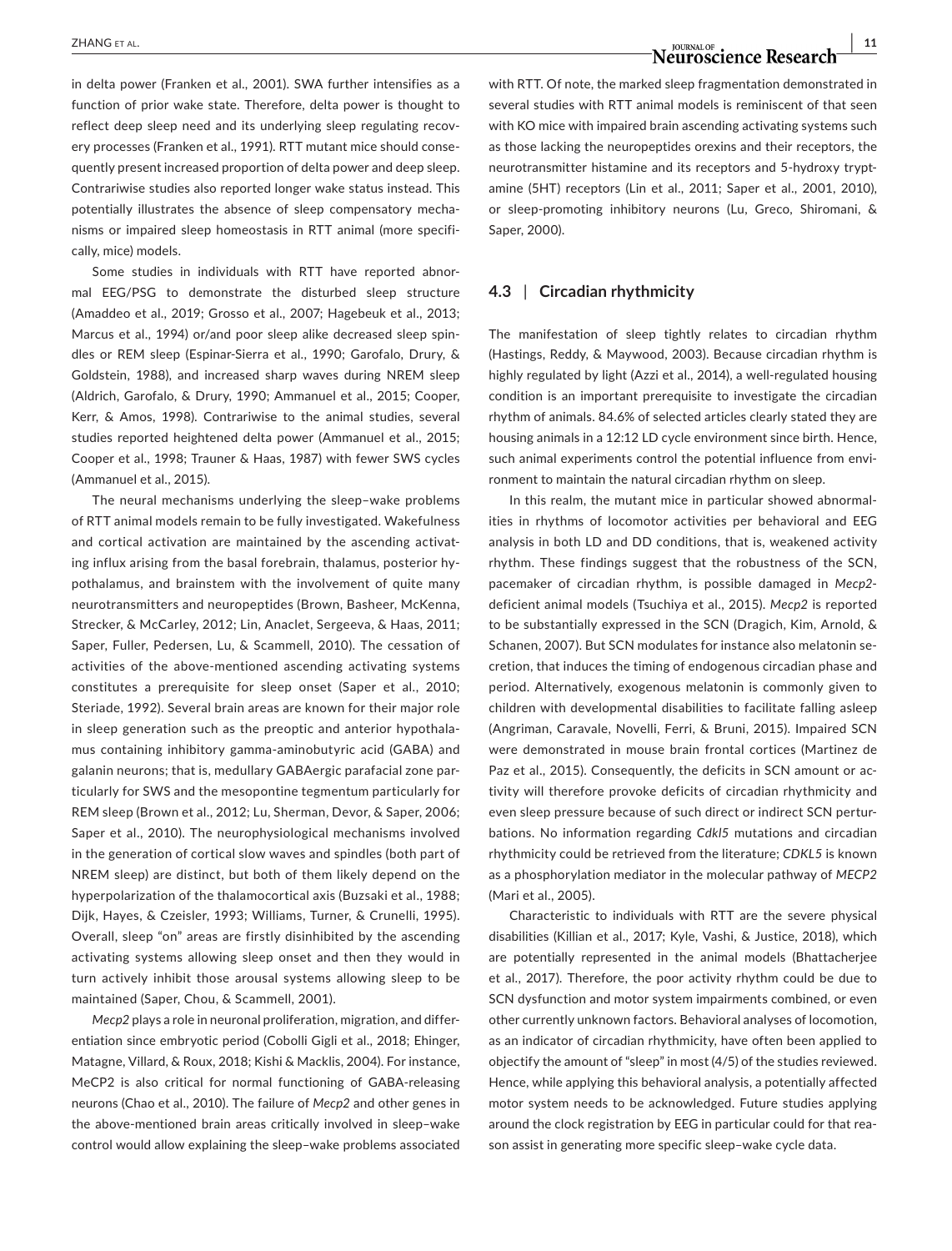in delta power (Franken et al., 2001). SWA further intensifies as a function of prior wake state. Therefore, delta power is thought to reflect deep sleep need and its underlying sleep regulating recovery processes (Franken et al., 1991). RTT mutant mice should consequently present increased proportion of delta power and deep sleep. Contrariwise studies also reported longer wake status instead. This potentially illustrates the absence of sleep compensatory mechanisms or impaired sleep homeostasis in RTT animal (more specifically, mice) models.

Some studies in individuals with RTT have reported abnormal EEG/PSG to demonstrate the disturbed sleep structure (Amaddeo et al., 2019; Grosso et al., 2007; Hagebeuk et al., 2013; Marcus et al., 1994) or/and poor sleep alike decreased sleep spindles or REM sleep (Espinar-Sierra et al., 1990; Garofalo, Drury, & Goldstein, 1988), and increased sharp waves during NREM sleep (Aldrich, Garofalo, & Drury, 1990; Ammanuel et al., 2015; Cooper, Kerr, & Amos, 1998). Contrariwise to the animal studies, several studies reported heightened delta power (Ammanuel et al., 2015; Cooper et al., 1998; Trauner & Haas, 1987) with fewer SWS cycles (Ammanuel et al., 2015).

The neural mechanisms underlying the sleep–wake problems of RTT animal models remain to be fully investigated. Wakefulness and cortical activation are maintained by the ascending activating influx arising from the basal forebrain, thalamus, posterior hypothalamus, and brainstem with the involvement of quite many neurotransmitters and neuropeptides (Brown, Basheer, McKenna, Strecker, & McCarley, 2012; Lin, Anaclet, Sergeeva, & Haas, 2011; Saper, Fuller, Pedersen, Lu, & Scammell, 2010). The cessation of activities of the above-mentioned ascending activating systems constitutes a prerequisite for sleep onset (Saper et al., 2010; Steriade, 1992). Several brain areas are known for their major role in sleep generation such as the preoptic and anterior hypothalamus containing inhibitory gamma-aminobutyric acid (GABA) and galanin neurons; that is, medullary GABAergic parafacial zone particularly for SWS and the mesopontine tegmentum particularly for REM sleep (Brown et al., 2012; Lu, Sherman, Devor, & Saper, 2006; Saper et al., 2010). The neurophysiological mechanisms involved in the generation of cortical slow waves and spindles (both part of NREM sleep) are distinct, but both of them likely depend on the hyperpolarization of the thalamocortical axis (Buzsaki et al., 1988; Dijk, Hayes, & Czeisler, 1993; Williams, Turner, & Crunelli, 1995). Overall, sleep "on" areas are firstly disinhibited by the ascending activating systems allowing sleep onset and then they would in turn actively inhibit those arousal systems allowing sleep to be maintained (Saper, Chou, & Scammell, 2001).

*Mecp2* plays a role in neuronal proliferation, migration, and differentiation since embryotic period (Cobolli Gigli et al., 2018; Ehinger, Matagne, Villard, & Roux, 2018; Kishi & Macklis, 2004). For instance, MeCP2 is also critical for normal functioning of GABA-releasing neurons (Chao et al., 2010). The failure of *Mecp2* and other genes in the above-mentioned brain areas critically involved in sleep–wake control would allow explaining the sleep–wake problems associated with RTT. Of note, the marked sleep fragmentation demonstrated in several studies with RTT animal models is reminiscent of that seen with KO mice with impaired brain ascending activating systems such as those lacking the neuropeptides orexins and their receptors, the neurotransmitter histamine and its receptors and 5-hydroxy tryptamine (5HT) receptors (Lin et al., 2011; Saper et al., 2001, 2010), or sleep-promoting inhibitory neurons (Lu, Greco, Shiromani, & Saper, 2000).

#### **4.3** | **Circadian rhythmicity**

The manifestation of sleep tightly relates to circadian rhythm (Hastings, Reddy, & Maywood, 2003). Because circadian rhythm is highly regulated by light (Azzi et al., 2014), a well-regulated housing condition is an important prerequisite to investigate the circadian rhythm of animals. 84.6% of selected articles clearly stated they are housing animals in a 12:12 LD cycle environment since birth. Hence, such animal experiments control the potential influence from environment to maintain the natural circadian rhythm on sleep.

In this realm, the mutant mice in particular showed abnormalities in rhythms of locomotor activities per behavioral and EEG analysis in both LD and DD conditions, that is, weakened activity rhythm. These findings suggest that the robustness of the SCN, pacemaker of circadian rhythm, is possible damaged in *Mecp2* deficient animal models (Tsuchiya et al., 2015). *Mecp2* is reported to be substantially expressed in the SCN (Dragich, Kim, Arnold, & Schanen, 2007). But SCN modulates for instance also melatonin secretion, that induces the timing of endogenous circadian phase and period. Alternatively, exogenous melatonin is commonly given to children with developmental disabilities to facilitate falling asleep (Angriman, Caravale, Novelli, Ferri, & Bruni, 2015). Impaired SCN were demonstrated in mouse brain frontal cortices (Martinez de Paz et al., 2015). Consequently, the deficits in SCN amount or activity will therefore provoke deficits of circadian rhythmicity and even sleep pressure because of such direct or indirect SCN perturbations. No information regarding *Cdkl5* mutations and circadian rhythmicity could be retrieved from the literature; *CDKL5* is known as a phosphorylation mediator in the molecular pathway of *MECP2* (Mari et al., 2005).

Characteristic to individuals with RTT are the severe physical disabilities (Killian et al., 2017; Kyle, Vashi, & Justice, 2018), which are potentially represented in the animal models (Bhattacherjee et al., 2017). Therefore, the poor activity rhythm could be due to SCN dysfunction and motor system impairments combined, or even other currently unknown factors. Behavioral analyses of locomotion, as an indicator of circadian rhythmicity, have often been applied to objectify the amount of "sleep" in most (4/5) of the studies reviewed. Hence, while applying this behavioral analysis, a potentially affected motor system needs to be acknowledged. Future studies applying around the clock registration by EEG in particular could for that reason assist in generating more specific sleep–wake cycle data.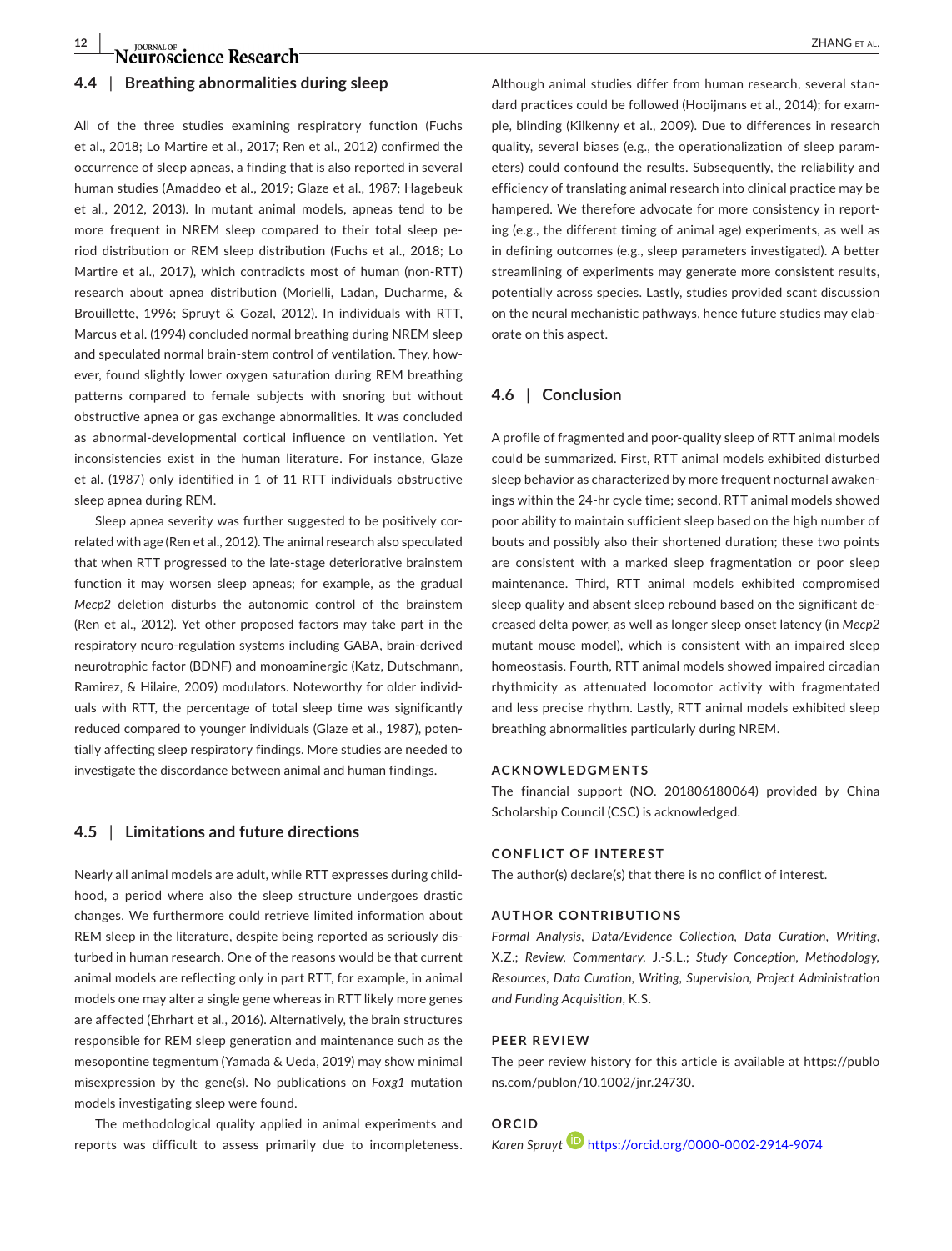## **12 <b>a** *Neuroscience Research ZHANG ET AL. ZHANG ET AL.*

#### **4.4** | **Breathing abnormalities during sleep**

All of the three studies examining respiratory function (Fuchs et al., 2018; Lo Martire et al., 2017; Ren et al., 2012) confirmed the occurrence of sleep apneas, a finding that is also reported in several human studies (Amaddeo et al., 2019; Glaze et al., 1987; Hagebeuk et al., 2012, 2013). In mutant animal models, apneas tend to be more frequent in NREM sleep compared to their total sleep period distribution or REM sleep distribution (Fuchs et al., 2018; Lo Martire et al., 2017), which contradicts most of human (non-RTT) research about apnea distribution (Morielli, Ladan, Ducharme, & Brouillette, 1996; Spruyt & Gozal, 2012). In individuals with RTT, Marcus et al. (1994) concluded normal breathing during NREM sleep and speculated normal brain-stem control of ventilation. They, however, found slightly lower oxygen saturation during REM breathing patterns compared to female subjects with snoring but without obstructive apnea or gas exchange abnormalities. It was concluded as abnormal-developmental cortical influence on ventilation. Yet inconsistencies exist in the human literature. For instance, Glaze et al. (1987) only identified in 1 of 11 RTT individuals obstructive sleep apnea during REM.

Sleep apnea severity was further suggested to be positively correlated with age (Ren et al., 2012). The animal research also speculated that when RTT progressed to the late-stage deteriorative brainstem function it may worsen sleep apneas; for example, as the gradual *Mecp2* deletion disturbs the autonomic control of the brainstem (Ren et al., 2012). Yet other proposed factors may take part in the respiratory neuro-regulation systems including GABA, brain-derived neurotrophic factor (BDNF) and monoaminergic (Katz, Dutschmann, Ramirez, & Hilaire, 2009) modulators. Noteworthy for older individuals with RTT, the percentage of total sleep time was significantly reduced compared to younger individuals (Glaze et al., 1987), potentially affecting sleep respiratory findings. More studies are needed to investigate the discordance between animal and human findings.

#### **4.5** | **Limitations and future directions**

Nearly all animal models are adult, while RTT expresses during childhood, a period where also the sleep structure undergoes drastic changes. We furthermore could retrieve limited information about REM sleep in the literature, despite being reported as seriously disturbed in human research. One of the reasons would be that current animal models are reflecting only in part RTT, for example, in animal models one may alter a single gene whereas in RTT likely more genes are affected (Ehrhart et al., 2016). Alternatively, the brain structures responsible for REM sleep generation and maintenance such as the mesopontine tegmentum (Yamada & Ueda, 2019) may show minimal misexpression by the gene(s). No publications on *Foxg1* mutation models investigating sleep were found.

The methodological quality applied in animal experiments and reports was difficult to assess primarily due to incompleteness.

Although animal studies differ from human research, several standard practices could be followed (Hooijmans et al., 2014); for example, blinding (Kilkenny et al., 2009). Due to differences in research quality, several biases (e.g., the operationalization of sleep parameters) could confound the results. Subsequently, the reliability and efficiency of translating animal research into clinical practice may be hampered. We therefore advocate for more consistency in reporting (e.g., the different timing of animal age) experiments, as well as in defining outcomes (e.g., sleep parameters investigated). A better streamlining of experiments may generate more consistent results, potentially across species. Lastly, studies provided scant discussion on the neural mechanistic pathways, hence future studies may elaborate on this aspect.

#### **4.6** | **Conclusion**

A profile of fragmented and poor-quality sleep of RTT animal models could be summarized. First, RTT animal models exhibited disturbed sleep behavior as characterized by more frequent nocturnal awakenings within the 24-hr cycle time; second, RTT animal models showed poor ability to maintain sufficient sleep based on the high number of bouts and possibly also their shortened duration; these two points are consistent with a marked sleep fragmentation or poor sleep maintenance. Third, RTT animal models exhibited compromised sleep quality and absent sleep rebound based on the significant decreased delta power, as well as longer sleep onset latency (in *Mecp2* mutant mouse model), which is consistent with an impaired sleep homeostasis. Fourth, RTT animal models showed impaired circadian rhythmicity as attenuated locomotor activity with fragmentated and less precise rhythm. Lastly, RTT animal models exhibited sleep breathing abnormalities particularly during NREM.

#### **ACKNOWLEDGMENTS**

The financial support (NO. 201806180064) provided by China Scholarship Council (CSC) is acknowledged.

#### **CONFLICT OF INTEREST**

The author(s) declare(s) that there is no conflict of interest.

#### **AUTHOR CONTRIBUTIONS**

*Formal Analysis, Data/Evidence Collection, Data Curation, Writing*, X.Z.; *Review, Commentary*, J.-S.L.; *Study Conception, Methodology, Resources, Data Curation, Writing, Supervision, Project Administration and Funding Acquisition*, K.S.

#### **PEER REVIEW**

The peer review history for this article is available at [https://publo](https://publons.com/publon/10.1002/jnr.24730) [ns.com/publon/10.1002/jnr.24730.](https://publons.com/publon/10.1002/jnr.24730)

#### **ORCID**

*Karen Spruyt* <https://orcid.org/0000-0002-2914-9074>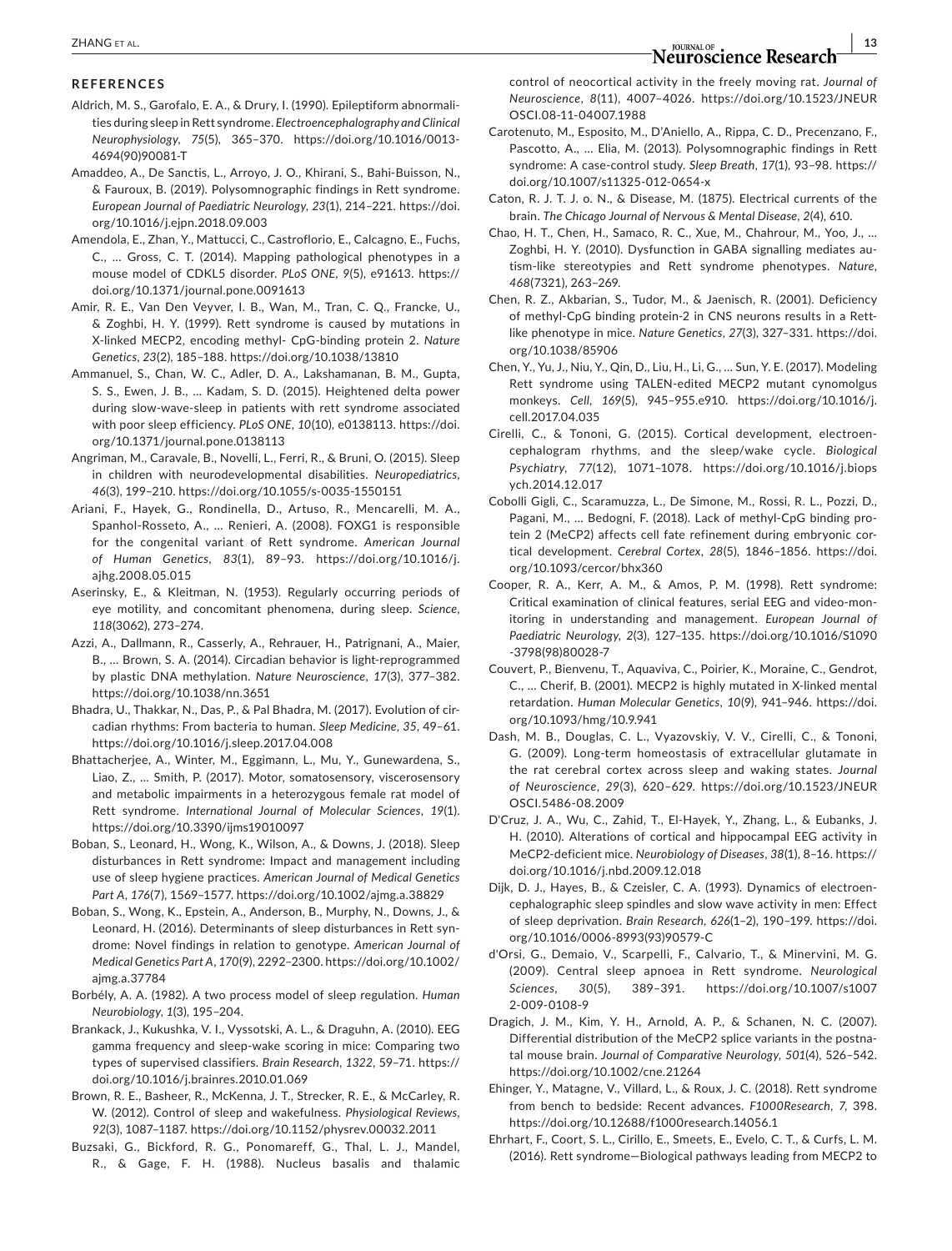## **|** ZHANG et al. **13**

#### **REFERENCES**

- Aldrich, M. S., Garofalo, E. A., & Drury, I. (1990). Epileptiform abnormalities during sleep in Rett syndrome. *Electroencephalography and Clinical Neurophysiology*, *75*(5), 365–370. [https://doi.org/10.1016/0013-](https://doi.org/10.1016/0013-4694(90)90081-T) [4694\(90\)90081-T](https://doi.org/10.1016/0013-4694(90)90081-T)
- Amaddeo, A., De Sanctis, L., Arroyo, J. O., Khirani, S., Bahi-Buisson, N., & Fauroux, B. (2019). Polysomnographic findings in Rett syndrome. *European Journal of Paediatric Neurology*, *23*(1), 214–221. [https://doi.](https://doi.org/10.1016/j.ejpn.2018.09.003) [org/10.1016/j.ejpn.2018.09.003](https://doi.org/10.1016/j.ejpn.2018.09.003)
- Amendola, E., Zhan, Y., Mattucci, C., Castroflorio, E., Calcagno, E., Fuchs, C., … Gross, C. T. (2014). Mapping pathological phenotypes in a mouse model of CDKL5 disorder. *PLoS ONE*, *9*(5), e91613. [https://](https://doi.org/10.1371/journal.pone.0091613) [doi.org/10.1371/journal.pone.0091613](https://doi.org/10.1371/journal.pone.0091613)
- Amir, R. E., Van Den Veyver, I. B., Wan, M., Tran, C. Q., Francke, U., & Zoghbi, H. Y. (1999). Rett syndrome is caused by mutations in X-linked MECP2, encoding methyl- CpG-binding protein 2. *Nature Genetics*, *23*(2), 185–188.<https://doi.org/10.1038/13810>
- Ammanuel, S., Chan, W. C., Adler, D. A., Lakshamanan, B. M., Gupta, S. S., Ewen, J. B., … Kadam, S. D. (2015). Heightened delta power during slow-wave-sleep in patients with rett syndrome associated with poor sleep efficiency. *PLoS ONE*, *10*(10), e0138113. [https://doi.](https://doi.org/10.1371/journal.pone.0138113) [org/10.1371/journal.pone.0138113](https://doi.org/10.1371/journal.pone.0138113)
- Angriman, M., Caravale, B., Novelli, L., Ferri, R., & Bruni, O. (2015). Sleep in children with neurodevelopmental disabilities. *Neuropediatrics*, *46*(3), 199–210. <https://doi.org/10.1055/s-0035-1550151>
- Ariani, F., Hayek, G., Rondinella, D., Artuso, R., Mencarelli, M. A., Spanhol-Rosseto, A., … Renieri, A. (2008). FOXG1 is responsible for the congenital variant of Rett syndrome. *American Journal of Human Genetics*, *83*(1), 89–93. [https://doi.org/10.1016/j.](https://doi.org/10.1016/j.ajhg.2008.05.015) [ajhg.2008.05.015](https://doi.org/10.1016/j.ajhg.2008.05.015)
- Aserinsky, E., & Kleitman, N. (1953). Regularly occurring periods of eye motility, and concomitant phenomena, during sleep. *Science*, *118*(3062), 273–274.
- Azzi, A., Dallmann, R., Casserly, A., Rehrauer, H., Patrignani, A., Maier, B., … Brown, S. A. (2014). Circadian behavior is light-reprogrammed by plastic DNA methylation. *Nature Neuroscience*, *17*(3), 377–382. <https://doi.org/10.1038/nn.3651>
- Bhadra, U., Thakkar, N., Das, P., & Pal Bhadra, M. (2017). Evolution of circadian rhythms: From bacteria to human. *Sleep Medicine*, *35*, 49–61. <https://doi.org/10.1016/j.sleep.2017.04.008>
- Bhattacherjee, A., Winter, M., Eggimann, L., Mu, Y., Gunewardena, S., Liao, Z., … Smith, P. (2017). Motor, somatosensory, viscerosensory and metabolic impairments in a heterozygous female rat model of Rett syndrome. *International Journal of Molecular Sciences*, *19*(1). <https://doi.org/10.3390/ijms19010097>
- Boban, S., Leonard, H., Wong, K., Wilson, A., & Downs, J. (2018). Sleep disturbances in Rett syndrome: Impact and management including use of sleep hygiene practices. *American Journal of Medical Genetics Part A*, *176*(7), 1569–1577.<https://doi.org/10.1002/ajmg.a.38829>
- Boban, S., Wong, K., Epstein, A., Anderson, B., Murphy, N., Downs, J., & Leonard, H. (2016). Determinants of sleep disturbances in Rett syndrome: Novel findings in relation to genotype. *American Journal of Medical Genetics Part A*, *170*(9), 2292–2300. [https://doi.org/10.1002/](https://doi.org/10.1002/ajmg.a.37784) [ajmg.a.37784](https://doi.org/10.1002/ajmg.a.37784)
- Borbély, A. A. (1982). A two process model of sleep regulation. *Human Neurobiology*, *1*(3), 195–204.
- Brankack, J., Kukushka, V. I., Vyssotski, A. L., & Draguhn, A. (2010). EEG gamma frequency and sleep-wake scoring in mice: Comparing two types of supervised classifiers. *Brain Research*, *1322*, 59–71. [https://](https://doi.org/10.1016/j.brainres.2010.01.069) [doi.org/10.1016/j.brainres.2010.01.069](https://doi.org/10.1016/j.brainres.2010.01.069)
- Brown, R. E., Basheer, R., McKenna, J. T., Strecker, R. E., & McCarley, R. W. (2012). Control of sleep and wakefulness. *Physiological Reviews*, *92*(3), 1087–1187.<https://doi.org/10.1152/physrev.00032.2011>
- Buzsaki, G., Bickford, R. G., Ponomareff, G., Thal, L. J., Mandel, R., & Gage, F. H. (1988). Nucleus basalis and thalamic

control of neocortical activity in the freely moving rat. *Journal of Neuroscience*, *8*(11), 4007–4026. [https://doi.org/10.1523/JNEUR](https://doi.org/10.1523/JNEUROSCI.08-11-04007.1988) [OSCI.08-11-04007.1988](https://doi.org/10.1523/JNEUROSCI.08-11-04007.1988)

- Carotenuto, M., Esposito, M., D'Aniello, A., Rippa, C. D., Precenzano, F., Pascotto, A., … Elia, M. (2013). Polysomnographic findings in Rett syndrome: A case-control study. *Sleep Breath*, *17*(1), 93–98. [https://](https://doi.org/10.1007/s11325-012-0654-x) [doi.org/10.1007/s11325-012-0654-x](https://doi.org/10.1007/s11325-012-0654-x)
- Caton, R. J. T. J. o. N., & Disease, M. (1875). Electrical currents of the brain. *The Chicago Journal of Nervous & Mental Disease*, *2*(4), 610.
- Chao, H. T., Chen, H., Samaco, R. C., Xue, M., Chahrour, M., Yoo, J., … Zoghbi, H. Y. (2010). Dysfunction in GABA signalling mediates autism-like stereotypies and Rett syndrome phenotypes. *Nature*, *468*(7321), 263–269.
- Chen, R. Z., Akbarian, S., Tudor, M., & Jaenisch, R. (2001). Deficiency of methyl-CpG binding protein-2 in CNS neurons results in a Rettlike phenotype in mice. *Nature Genetics*, *27*(3), 327–331. [https://doi.](https://doi.org/10.1038/85906) [org/10.1038/85906](https://doi.org/10.1038/85906)
- Chen, Y., Yu, J., Niu, Y., Qin, D., Liu, H., Li, G., … Sun, Y. E. (2017). Modeling Rett syndrome using TALEN-edited MECP2 mutant cynomolgus monkeys. *Cell*, *169*(5), 945–955.e910. [https://doi.org/10.1016/j.](https://doi.org/10.1016/j.cell.2017.04.035) [cell.2017.04.035](https://doi.org/10.1016/j.cell.2017.04.035)
- Cirelli, C., & Tononi, G. (2015). Cortical development, electroencephalogram rhythms, and the sleep/wake cycle. *Biological Psychiatry*, *77*(12), 1071–1078. [https://doi.org/10.1016/j.biops](https://doi.org/10.1016/j.biopsych.2014.12.017) [ych.2014.12.017](https://doi.org/10.1016/j.biopsych.2014.12.017)
- Cobolli Gigli, C., Scaramuzza, L., De Simone, M., Rossi, R. L., Pozzi, D., Pagani, M., … Bedogni, F. (2018). Lack of methyl-CpG binding protein 2 (MeCP2) affects cell fate refinement during embryonic cortical development. *Cerebral Cortex*, *28*(5), 1846–1856. [https://doi.](https://doi.org/10.1093/cercor/bhx360) [org/10.1093/cercor/bhx360](https://doi.org/10.1093/cercor/bhx360)
- Cooper, R. A., Kerr, A. M., & Amos, P. M. (1998). Rett syndrome: Critical examination of clinical features, serial EEG and video-monitoring in understanding and management. *European Journal of Paediatric Neurology*, *2*(3), 127–135. [https://doi.org/10.1016/S1090](https://doi.org/10.1016/S1090-3798(98)80028-7) [-3798\(98\)80028-7](https://doi.org/10.1016/S1090-3798(98)80028-7)
- Couvert, P., Bienvenu, T., Aquaviva, C., Poirier, K., Moraine, C., Gendrot, C., … Cherif, B. (2001). MECP2 is highly mutated in X-linked mental retardation. *Human Molecular Genetics*, *10*(9), 941–946. [https://doi.](https://doi.org/10.1093/hmg/10.9.941) [org/10.1093/hmg/10.9.941](https://doi.org/10.1093/hmg/10.9.941)
- Dash, M. B., Douglas, C. L., Vyazovskiy, V. V., Cirelli, C., & Tononi, G. (2009). Long-term homeostasis of extracellular glutamate in the rat cerebral cortex across sleep and waking states. *Journal of Neuroscience*, *29*(3), 620–629. [https://doi.org/10.1523/JNEUR](https://doi.org/10.1523/JNEUROSCI.5486-08.2009) [OSCI.5486-08.2009](https://doi.org/10.1523/JNEUROSCI.5486-08.2009)
- D'Cruz, J. A., Wu, C., Zahid, T., El-Hayek, Y., Zhang, L., & Eubanks, J. H. (2010). Alterations of cortical and hippocampal EEG activity in MeCP2-deficient mice. *Neurobiology of Diseases*, *38*(1), 8–16. [https://](https://doi.org/10.1016/j.nbd.2009.12.018) [doi.org/10.1016/j.nbd.2009.12.018](https://doi.org/10.1016/j.nbd.2009.12.018)
- Dijk, D. J., Hayes, B., & Czeisler, C. A. (1993). Dynamics of electroencephalographic sleep spindles and slow wave activity in men: Effect of sleep deprivation. *Brain Research*, *626*(1–2), 190–199. [https://doi.](https://doi.org/10.1016/0006-8993(93)90579-C) [org/10.1016/0006-8993\(93\)90579-C](https://doi.org/10.1016/0006-8993(93)90579-C)
- d'Orsi, G., Demaio, V., Scarpelli, F., Calvario, T., & Minervini, M. G. (2009). Central sleep apnoea in Rett syndrome. *Neurological Sciences*, *30*(5), 389–391. [https://doi.org/10.1007/s1007](https://doi.org/10.1007/s10072-009-0108-9) [2-009-0108-9](https://doi.org/10.1007/s10072-009-0108-9)
- Dragich, J. M., Kim, Y. H., Arnold, A. P., & Schanen, N. C. (2007). Differential distribution of the MeCP2 splice variants in the postnatal mouse brain. *Journal of Comparative Neurology*, *501*(4), 526–542. <https://doi.org/10.1002/cne.21264>
- Ehinger, Y., Matagne, V., Villard, L., & Roux, J. C. (2018). Rett syndrome from bench to bedside: Recent advances. *F1000Research*, *7*, 398. <https://doi.org/10.12688/f1000research.14056.1>
- Ehrhart, F., Coort, S. L., Cirillo, E., Smeets, E., Evelo, C. T., & Curfs, L. M. (2016). Rett syndrome—Biological pathways leading from MECP2 to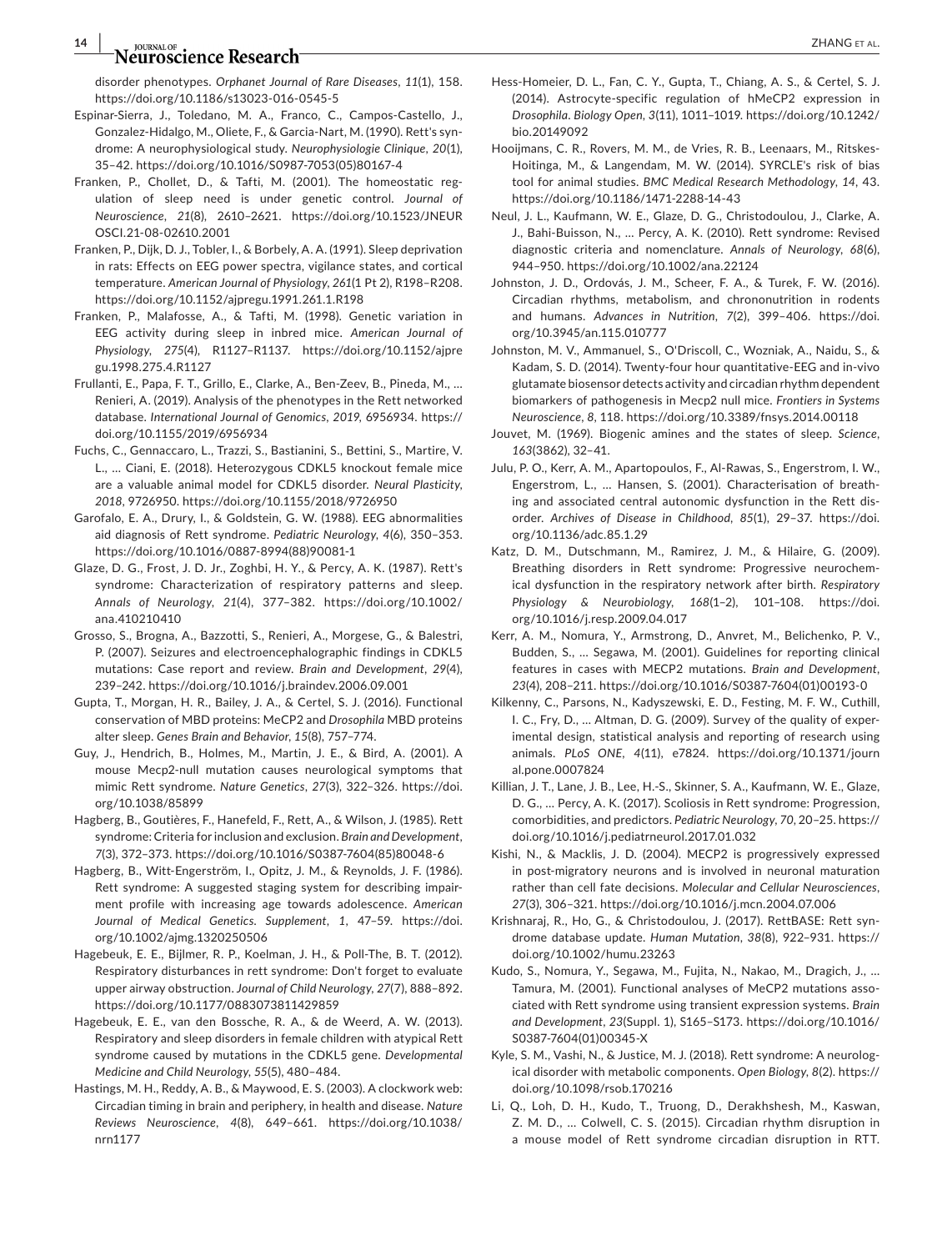### **14 a** *n n n n n n n n n n n n n n n n n n n n n n n n n n n n n n n n n n n n*

disorder phenotypes. *Orphanet Journal of Rare Diseases*, *11*(1), 158. <https://doi.org/10.1186/s13023-016-0545-5>

- Espinar-Sierra, J., Toledano, M. A., Franco, C., Campos-Castello, J., Gonzalez-Hidalgo, M., Oliete, F., & Garcia-Nart, M. (1990). Rett's syndrome: A neurophysiological study. *Neurophysiologie Clinique*, *20*(1), 35–42. [https://doi.org/10.1016/S0987-7053\(05\)80167-4](https://doi.org/10.1016/S0987-7053(05)80167-4)
- Franken, P., Chollet, D., & Tafti, M. (2001). The homeostatic regulation of sleep need is under genetic control. *Journal of Neuroscience*, *21*(8), 2610–2621. [https://doi.org/10.1523/JNEUR](https://doi.org/10.1523/JNEUROSCI.21-08-02610.2001) [OSCI.21-08-02610.2001](https://doi.org/10.1523/JNEUROSCI.21-08-02610.2001)
- Franken, P., Dijk, D. J., Tobler, I., & Borbely, A. A. (1991). Sleep deprivation in rats: Effects on EEG power spectra, vigilance states, and cortical temperature. *American Journal of Physiology*, *261*(1 Pt 2), R198–R208. <https://doi.org/10.1152/ajpregu.1991.261.1.R198>
- Franken, P., Malafosse, A., & Tafti, M. (1998). Genetic variation in EEG activity during sleep in inbred mice. *American Journal of Physiology*, *275*(4), R1127–R1137. [https://doi.org/10.1152/ajpre](https://doi.org/10.1152/ajpregu.1998.275.4.R1127) [gu.1998.275.4.R1127](https://doi.org/10.1152/ajpregu.1998.275.4.R1127)
- Frullanti, E., Papa, F. T., Grillo, E., Clarke, A., Ben-Zeev, B., Pineda, M., … Renieri, A. (2019). Analysis of the phenotypes in the Rett networked database. *International Journal of Genomics*, *2019*, 6956934. [https://](https://doi.org/10.1155/2019/6956934) [doi.org/10.1155/2019/6956934](https://doi.org/10.1155/2019/6956934)
- Fuchs, C., Gennaccaro, L., Trazzi, S., Bastianini, S., Bettini, S., Martire, V. L., … Ciani, E. (2018). Heterozygous CDKL5 knockout female mice are a valuable animal model for CDKL5 disorder. *Neural Plasticity*, *2018*, 9726950.<https://doi.org/10.1155/2018/9726950>
- Garofalo, E. A., Drury, I., & Goldstein, G. W. (1988). EEG abnormalities aid diagnosis of Rett syndrome. *Pediatric Neurology*, *4*(6), 350–353. [https://doi.org/10.1016/0887-8994\(88\)90081-1](https://doi.org/10.1016/0887-8994(88)90081-1)
- Glaze, D. G., Frost, J. D. Jr., Zoghbi, H. Y., & Percy, A. K. (1987). Rett's syndrome: Characterization of respiratory patterns and sleep. *Annals of Neurology*, *21*(4), 377–382. [https://doi.org/10.1002/](https://doi.org/10.1002/ana.410210410) [ana.410210410](https://doi.org/10.1002/ana.410210410)
- Grosso, S., Brogna, A., Bazzotti, S., Renieri, A., Morgese, G., & Balestri, P. (2007). Seizures and electroencephalographic findings in CDKL5 mutations: Case report and review. *Brain and Development*, *29*(4), 239–242.<https://doi.org/10.1016/j.braindev.2006.09.001>
- Gupta, T., Morgan, H. R., Bailey, J. A., & Certel, S. J. (2016). Functional conservation of MBD proteins: MeCP2 and *Drosophila* MBD proteins alter sleep. *Genes Brain and Behavior*, *15*(8), 757–774.
- Guy, J., Hendrich, B., Holmes, M., Martin, J. E., & Bird, A. (2001). A mouse Mecp2-null mutation causes neurological symptoms that mimic Rett syndrome. *Nature Genetics*, *27*(3), 322–326. [https://doi.](https://doi.org/10.1038/85899) [org/10.1038/85899](https://doi.org/10.1038/85899)
- Hagberg, B., Goutières, F., Hanefeld, F., Rett, A., & Wilson, J. (1985). Rett syndrome: Criteria for inclusion and exclusion. *Brain and Development*, *7*(3), 372–373. [https://doi.org/10.1016/S0387-7604\(85\)80048-6](https://doi.org/10.1016/S0387-7604(85)80048-6)
- Hagberg, B., Witt-Engerström, I., Opitz, J. M., & Reynolds, J. F. (1986). Rett syndrome: A suggested staging system for describing impairment profile with increasing age towards adolescence. *American Journal of Medical Genetics. Supplement*, *1*, 47–59. [https://doi.](https://doi.org/10.1002/ajmg.1320250506) [org/10.1002/ajmg.1320250506](https://doi.org/10.1002/ajmg.1320250506)
- Hagebeuk, E. E., Bijlmer, R. P., Koelman, J. H., & Poll-The, B. T. (2012). Respiratory disturbances in rett syndrome: Don't forget to evaluate upper airway obstruction. *Journal of Child Neurology*, *27*(7), 888–892. <https://doi.org/10.1177/0883073811429859>
- Hagebeuk, E. E., van den Bossche, R. A., & de Weerd, A. W. (2013). Respiratory and sleep disorders in female children with atypical Rett syndrome caused by mutations in the CDKL5 gene. *Developmental Medicine and Child Neurology*, *55*(5), 480–484.
- Hastings, M. H., Reddy, A. B., & Maywood, E. S. (2003). A clockwork web: Circadian timing in brain and periphery, in health and disease. *Nature Reviews Neuroscience*, *4*(8), 649–661. [https://doi.org/10.1038/](https://doi.org/10.1038/nrn1177) [nrn1177](https://doi.org/10.1038/nrn1177)
- Hess-Homeier, D. L., Fan, C. Y., Gupta, T., Chiang, A. S., & Certel, S. J. (2014). Astrocyte-specific regulation of hMeCP2 expression in *Drosophila*. *Biology Open*, *3*(11), 1011–1019. [https://doi.org/10.1242/](https://doi.org/10.1242/bio.20149092) [bio.20149092](https://doi.org/10.1242/bio.20149092)
- Hooijmans, C. R., Rovers, M. M., de Vries, R. B., Leenaars, M., Ritskes-Hoitinga, M., & Langendam, M. W. (2014). SYRCLE's risk of bias tool for animal studies. *BMC Medical Research Methodology*, *14*, 43. <https://doi.org/10.1186/1471-2288-14-43>
- Neul, J. L., Kaufmann, W. E., Glaze, D. G., Christodoulou, J., Clarke, A. J., Bahi-Buisson, N., … Percy, A. K. (2010). Rett syndrome: Revised diagnostic criteria and nomenclature. *Annals of Neurology*, *68*(6), 944–950. <https://doi.org/10.1002/ana.22124>
- Johnston, J. D., Ordovás, J. M., Scheer, F. A., & Turek, F. W. (2016). Circadian rhythms, metabolism, and chrononutrition in rodents and humans. *Advances in Nutrition*, *7*(2), 399–406. [https://doi.](https://doi.org/10.3945/an.115.010777) [org/10.3945/an.115.010777](https://doi.org/10.3945/an.115.010777)
- Johnston, M. V., Ammanuel, S., O'Driscoll, C., Wozniak, A., Naidu, S., & Kadam, S. D. (2014). Twenty-four hour quantitative-EEG and in-vivo glutamate biosensor detects activity and circadian rhythm dependent biomarkers of pathogenesis in Mecp2 null mice. *Frontiers in Systems Neuroscience*, *8*, 118.<https://doi.org/10.3389/fnsys.2014.00118>
- Jouvet, M. (1969). Biogenic amines and the states of sleep. *Science*, *163*(3862), 32–41.
- Julu, P. O., Kerr, A. M., Apartopoulos, F., Al-Rawas, S., Engerstrom, I. W., Engerstrom, L., … Hansen, S. (2001). Characterisation of breathing and associated central autonomic dysfunction in the Rett disorder. *Archives of Disease in Childhood*, *85*(1), 29–37. [https://doi.](https://doi.org/10.1136/adc.85.1.29) [org/10.1136/adc.85.1.29](https://doi.org/10.1136/adc.85.1.29)
- Katz, D. M., Dutschmann, M., Ramirez, J. M., & Hilaire, G. (2009). Breathing disorders in Rett syndrome: Progressive neurochemical dysfunction in the respiratory network after birth. *Respiratory Physiology & Neurobiology*, *168*(1–2), 101–108. [https://doi.](https://doi.org/10.1016/j.resp.2009.04.017) [org/10.1016/j.resp.2009.04.017](https://doi.org/10.1016/j.resp.2009.04.017)
- Kerr, A. M., Nomura, Y., Armstrong, D., Anvret, M., Belichenko, P. V., Budden, S., … Segawa, M. (2001). Guidelines for reporting clinical features in cases with MECP2 mutations. *Brain and Development*, *23*(4), 208–211. [https://doi.org/10.1016/S0387-7604\(01\)00193-0](https://doi.org/10.1016/S0387-7604(01)00193-0)
- Kilkenny, C., Parsons, N., Kadyszewski, E. D., Festing, M. F. W., Cuthill, I. C., Fry, D., … Altman, D. G. (2009). Survey of the quality of experimental design, statistical analysis and reporting of research using animals. *PLoS ONE*, *4*(11), e7824. [https://doi.org/10.1371/journ](https://doi.org/10.1371/journal.pone.0007824) [al.pone.0007824](https://doi.org/10.1371/journal.pone.0007824)
- Killian, J. T., Lane, J. B., Lee, H.-S., Skinner, S. A., Kaufmann, W. E., Glaze, D. G., … Percy, A. K. (2017). Scoliosis in Rett syndrome: Progression, comorbidities, and predictors. *Pediatric Neurology*, *70*, 20–25. [https://](https://doi.org/10.1016/j.pediatrneurol.2017.01.032) [doi.org/10.1016/j.pediatrneurol.2017.01.032](https://doi.org/10.1016/j.pediatrneurol.2017.01.032)
- Kishi, N., & Macklis, J. D. (2004). MECP2 is progressively expressed in post-migratory neurons and is involved in neuronal maturation rather than cell fate decisions. *Molecular and Cellular Neurosciences*, *27*(3), 306–321. <https://doi.org/10.1016/j.mcn.2004.07.006>
- Krishnaraj, R., Ho, G., & Christodoulou, J. (2017). RettBASE: Rett syndrome database update. *Human Mutation*, *38*(8), 922–931. [https://](https://doi.org/10.1002/humu.23263) [doi.org/10.1002/humu.23263](https://doi.org/10.1002/humu.23263)
- Kudo, S., Nomura, Y., Segawa, M., Fujita, N., Nakao, M., Dragich, J., … Tamura, M. (2001). Functional analyses of MeCP2 mutations associated with Rett syndrome using transient expression systems. *Brain and Development*, *23*(Suppl. 1), S165–S173. [https://doi.org/10.1016/](https://doi.org/10.1016/S0387-7604(01)00345-X) [S0387-7604\(01\)00345-X](https://doi.org/10.1016/S0387-7604(01)00345-X)
- Kyle, S. M., Vashi, N., & Justice, M. J. (2018). Rett syndrome: A neurological disorder with metabolic components. *Open Biology*, *8*(2). [https://](https://doi.org/10.1098/rsob.170216) [doi.org/10.1098/rsob.170216](https://doi.org/10.1098/rsob.170216)
- Li, Q., Loh, D. H., Kudo, T., Truong, D., Derakhshesh, M., Kaswan, Z. M. D., … Colwell, C. S. (2015). Circadian rhythm disruption in a mouse model of Rett syndrome circadian disruption in RTT.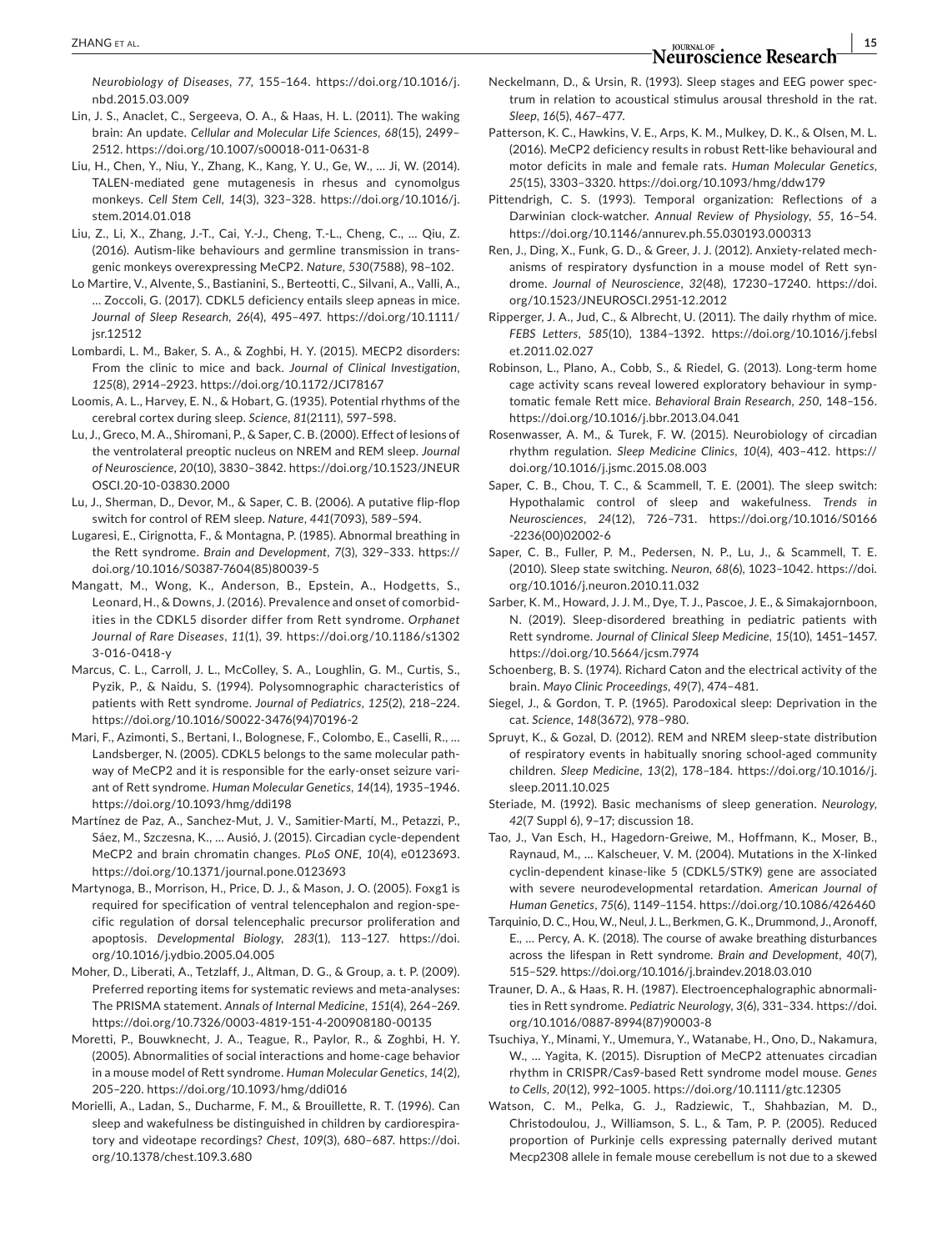*Neurobiology of Diseases*, *77*, 155–164. [https://doi.org/10.1016/j.](https://doi.org/10.1016/j.nbd.2015.03.009) [nbd.2015.03.009](https://doi.org/10.1016/j.nbd.2015.03.009)

- Lin, J. S., Anaclet, C., Sergeeva, O. A., & Haas, H. L. (2011). The waking brain: An update. *Cellular and Molecular Life Sciences*, *68*(15), 2499– 2512. <https://doi.org/10.1007/s00018-011-0631-8>
- Liu, H., Chen, Y., Niu, Y., Zhang, K., Kang, Y. U., Ge, W., … Ji, W. (2014). TALEN-mediated gene mutagenesis in rhesus and cynomolgus monkeys. *Cell Stem Cell*, *14*(3), 323–328. [https://doi.org/10.1016/j.](https://doi.org/10.1016/j.stem.2014.01.018) [stem.2014.01.018](https://doi.org/10.1016/j.stem.2014.01.018)
- Liu, Z., Li, X., Zhang, J.-T., Cai, Y.-J., Cheng, T.-L., Cheng, C., … Qiu, Z. (2016). Autism-like behaviours and germline transmission in transgenic monkeys overexpressing MeCP2. *Nature*, *530*(7588), 98–102.
- Lo Martire, V., Alvente, S., Bastianini, S., Berteotti, C., Silvani, A., Valli, A., … Zoccoli, G. (2017). CDKL5 deficiency entails sleep apneas in mice. *Journal of Sleep Research*, *26*(4), 495–497. [https://doi.org/10.1111/](https://doi.org/10.1111/jsr.12512) [jsr.12512](https://doi.org/10.1111/jsr.12512)
- Lombardi, L. M., Baker, S. A., & Zoghbi, H. Y. (2015). MECP2 disorders: From the clinic to mice and back. *Journal of Clinical Investigation*, *125*(8), 2914–2923.<https://doi.org/10.1172/JCI78167>
- Loomis, A. L., Harvey, E. N., & Hobart, G. (1935). Potential rhythms of the cerebral cortex during sleep. *Science*, *81*(2111), 597–598.
- Lu, J., Greco, M. A., Shiromani, P., & Saper, C. B. (2000). Effect of lesions of the ventrolateral preoptic nucleus on NREM and REM sleep. *Journal of Neuroscience*, *20*(10), 3830–3842. [https://doi.org/10.1523/JNEUR](https://doi.org/10.1523/JNEUROSCI.20-10-03830.2000) [OSCI.20-10-03830.2000](https://doi.org/10.1523/JNEUROSCI.20-10-03830.2000)
- Lu, J., Sherman, D., Devor, M., & Saper, C. B. (2006). A putative flip-flop switch for control of REM sleep. *Nature*, *441*(7093), 589–594.
- Lugaresi, E., Cirignotta, F., & Montagna, P. (1985). Abnormal breathing in the Rett syndrome. *Brain and Development*, *7*(3), 329–333. [https://](https://doi.org/10.1016/S0387-7604(85)80039-5) [doi.org/10.1016/S0387-7604\(85\)80039-5](https://doi.org/10.1016/S0387-7604(85)80039-5)
- Mangatt, M., Wong, K., Anderson, B., Epstein, A., Hodgetts, S., Leonard, H., & Downs, J. (2016). Prevalence and onset of comorbidities in the CDKL5 disorder differ from Rett syndrome. *Orphanet Journal of Rare Diseases*, *11*(1), 39. [https://doi.org/10.1186/s1302](https://doi.org/10.1186/s13023-016-0418-y) [3-016-0418-y](https://doi.org/10.1186/s13023-016-0418-y)
- Marcus, C. L., Carroll, J. L., McColley, S. A., Loughlin, G. M., Curtis, S., Pyzik, P., & Naidu, S. (1994). Polysomnographic characteristics of patients with Rett syndrome. *Journal of Pediatrics*, *125*(2), 218–224. [https://doi.org/10.1016/S0022-3476\(94\)70196-2](https://doi.org/10.1016/S0022-3476(94)70196-2)
- Mari, F., Azimonti, S., Bertani, I., Bolognese, F., Colombo, E., Caselli, R., … Landsberger, N. (2005). CDKL5 belongs to the same molecular pathway of MeCP2 and it is responsible for the early-onset seizure variant of Rett syndrome. *Human Molecular Genetics*, *14*(14), 1935–1946. <https://doi.org/10.1093/hmg/ddi198>
- Martínez de Paz, A., Sanchez-Mut, J. V., Samitier-Martí, M., Petazzi, P., Sáez, M., Szczesna, K., … Ausió, J. (2015). Circadian cycle-dependent MeCP2 and brain chromatin changes. *PLoS ONE*, *10*(4), e0123693. <https://doi.org/10.1371/journal.pone.0123693>
- Martynoga, B., Morrison, H., Price, D. J., & Mason, J. O. (2005). Foxg1 is required for specification of ventral telencephalon and region-specific regulation of dorsal telencephalic precursor proliferation and apoptosis. *Developmental Biology*, *283*(1), 113–127. [https://doi.](https://doi.org/10.1016/j.ydbio.2005.04.005) [org/10.1016/j.ydbio.2005.04.005](https://doi.org/10.1016/j.ydbio.2005.04.005)
- Moher, D., Liberati, A., Tetzlaff, J., Altman, D. G., & Group, a. t. P. (2009). Preferred reporting items for systematic reviews and meta-analyses: The PRISMA statement. *Annals of Internal Medicine*, *151*(4), 264–269. <https://doi.org/10.7326/0003-4819-151-4-200908180-00135>
- Moretti, P., Bouwknecht, J. A., Teague, R., Paylor, R., & Zoghbi, H. Y. (2005). Abnormalities of social interactions and home-cage behavior in a mouse model of Rett syndrome. *Human Molecular Genetics*, *14*(2), 205–220.<https://doi.org/10.1093/hmg/ddi016>
- Morielli, A., Ladan, S., Ducharme, F. M., & Brouillette, R. T. (1996). Can sleep and wakefulness be distinguished in children by cardiorespiratory and videotape recordings? *Chest*, *109*(3), 680–687. [https://doi.](https://doi.org/10.1378/chest.109.3.680) [org/10.1378/chest.109.3.680](https://doi.org/10.1378/chest.109.3.680)
- Neckelmann, D., & Ursin, R. (1993). Sleep stages and EEG power spectrum in relation to acoustical stimulus arousal threshold in the rat. *Sleep*, *16*(5), 467–477.
- Patterson, K. C., Hawkins, V. E., Arps, K. M., Mulkey, D. K., & Olsen, M. L. (2016). MeCP2 deficiency results in robust Rett-like behavioural and motor deficits in male and female rats. *Human Molecular Genetics*, *25*(15), 3303–3320.<https://doi.org/10.1093/hmg/ddw179>
- Pittendrigh, C. S. (1993). Temporal organization: Reflections of a Darwinian clock-watcher. *Annual Review of Physiology*, *55*, 16–54. <https://doi.org/10.1146/annurev.ph.55.030193.000313>
- Ren, J., Ding, X., Funk, G. D., & Greer, J. J. (2012). Anxiety-related mechanisms of respiratory dysfunction in a mouse model of Rett syndrome. *Journal of Neuroscience*, *32*(48), 17230–17240. [https://doi.](https://doi.org/10.1523/JNEUROSCI.2951-12.2012) [org/10.1523/JNEUROSCI.2951-12.2012](https://doi.org/10.1523/JNEUROSCI.2951-12.2012)
- Ripperger, J. A., Jud, C., & Albrecht, U. (2011). The daily rhythm of mice. *FEBS Letters*, *585*(10), 1384–1392. [https://doi.org/10.1016/j.febsl](https://doi.org/10.1016/j.febslet.2011.02.027) [et.2011.02.027](https://doi.org/10.1016/j.febslet.2011.02.027)
- Robinson, L., Plano, A., Cobb, S., & Riedel, G. (2013). Long-term home cage activity scans reveal lowered exploratory behaviour in symptomatic female Rett mice. *Behavioral Brain Research*, *250*, 148–156. <https://doi.org/10.1016/j.bbr.2013.04.041>
- Rosenwasser, A. M., & Turek, F. W. (2015). Neurobiology of circadian rhythm regulation. *Sleep Medicine Clinics*, *10*(4), 403–412. [https://](https://doi.org/10.1016/j.jsmc.2015.08.003) [doi.org/10.1016/j.jsmc.2015.08.003](https://doi.org/10.1016/j.jsmc.2015.08.003)
- Saper, C. B., Chou, T. C., & Scammell, T. E. (2001). The sleep switch: Hypothalamic control of sleep and wakefulness. *Trends in Neurosciences*, *24*(12), 726–731. [https://doi.org/10.1016/S0166](https://doi.org/10.1016/S0166-2236(00)02002-6) [-2236\(00\)02002-6](https://doi.org/10.1016/S0166-2236(00)02002-6)
- Saper, C. B., Fuller, P. M., Pedersen, N. P., Lu, J., & Scammell, T. E. (2010). Sleep state switching. *Neuron*, *68*(6), 1023–1042. [https://doi.](https://doi.org/10.1016/j.neuron.2010.11.032) [org/10.1016/j.neuron.2010.11.032](https://doi.org/10.1016/j.neuron.2010.11.032)
- Sarber, K. M., Howard, J. J. M., Dye, T. J., Pascoe, J. E., & Simakajornboon, N. (2019). Sleep-disordered breathing in pediatric patients with Rett syndrome. *Journal of Clinical Sleep Medicine*, *15*(10), 1451–1457. <https://doi.org/10.5664/jcsm.7974>
- Schoenberg, B. S. (1974). Richard Caton and the electrical activity of the brain. *Mayo Clinic Proceedings*, *49*(7), 474–481.
- Siegel, J., & Gordon, T. P. (1965). Parodoxical sleep: Deprivation in the cat. *Science*, *148*(3672), 978–980.
- Spruyt, K., & Gozal, D. (2012). REM and NREM sleep-state distribution of respiratory events in habitually snoring school-aged community children. *Sleep Medicine*, *13*(2), 178–184. [https://doi.org/10.1016/j.](https://doi.org/10.1016/j.sleep.2011.10.025) [sleep.2011.10.025](https://doi.org/10.1016/j.sleep.2011.10.025)
- Steriade, M. (1992). Basic mechanisms of sleep generation. *Neurology*, *42*(7 Suppl 6), 9–17; discussion 18.
- Tao, J., Van Esch, H., Hagedorn-Greiwe, M., Hoffmann, K., Moser, B., Raynaud, M., … Kalscheuer, V. M. (2004). Mutations in the X-linked cyclin-dependent kinase-like 5 (CDKL5/STK9) gene are associated with severe neurodevelopmental retardation. *American Journal of Human Genetics*, *75*(6), 1149–1154. <https://doi.org/10.1086/426460>
- Tarquinio, D. C., Hou, W., Neul, J. L., Berkmen, G. K., Drummond, J., Aronoff, E., … Percy, A. K. (2018). The course of awake breathing disturbances across the lifespan in Rett syndrome. *Brain and Development*, *40*(7), 515–529. <https://doi.org/10.1016/j.braindev.2018.03.010>
- Trauner, D. A., & Haas, R. H. (1987). Electroencephalographic abnormalities in Rett syndrome. *Pediatric Neurology*, *3*(6), 331–334. [https://doi.](https://doi.org/10.1016/0887-8994(87)90003-8) [org/10.1016/0887-8994\(87\)90003-8](https://doi.org/10.1016/0887-8994(87)90003-8)
- Tsuchiya, Y., Minami, Y., Umemura, Y., Watanabe, H., Ono, D., Nakamura, W., … Yagita, K. (2015). Disruption of MeCP2 attenuates circadian rhythm in CRISPR/Cas9-based Rett syndrome model mouse. *Genes to Cells*, *20*(12), 992–1005.<https://doi.org/10.1111/gtc.12305>
- Watson, C. M., Pelka, G. J., Radziewic, T., Shahbazian, M. D., Christodoulou, J., Williamson, S. L., & Tam, P. P. (2005). Reduced proportion of Purkinje cells expressing paternally derived mutant Mecp2308 allele in female mouse cerebellum is not due to a skewed